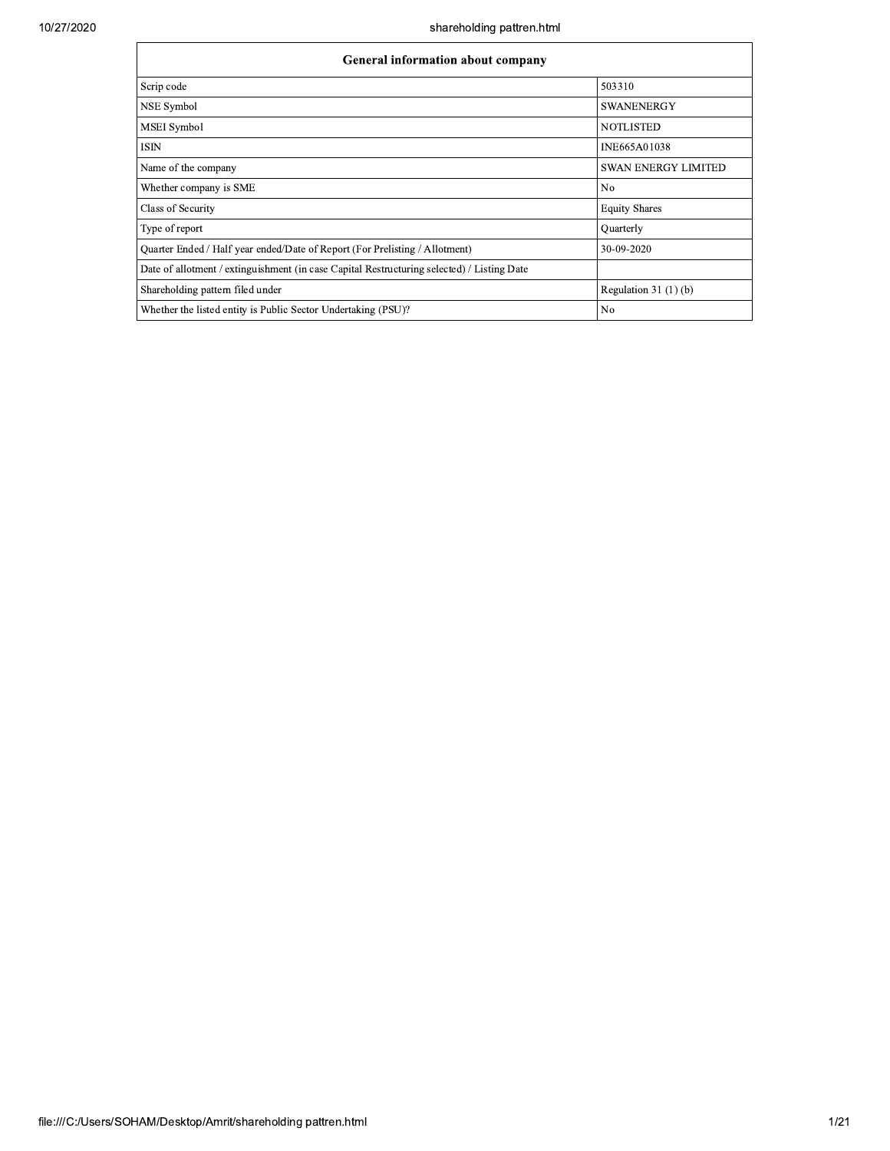| shareholding pattren.html                                                                  |                            |
|--------------------------------------------------------------------------------------------|----------------------------|
| General information about company                                                          |                            |
| Scrip code                                                                                 | 503310                     |
| NSE Symbol                                                                                 | <b>SWANENERGY</b>          |
| MSEI Symbol                                                                                | <b>NOTLISTED</b>           |
| <b>ISIN</b>                                                                                | <b>INE665A01038</b>        |
| Name of the company                                                                        | <b>SWAN ENERGY LIMITED</b> |
| Whether company is SME                                                                     | N <sub>0</sub>             |
| Class of Security                                                                          | <b>Equity Shares</b>       |
| Type of report                                                                             | Quarterly                  |
| Quarter Ended / Half year ended/Date of Report (For Prelisting / Allotment)                | 30-09-2020                 |
| Date of allotment / extinguishment (in case Capital Restructuring selected) / Listing Date |                            |
| Shareholding pattern filed under                                                           | Regulation $31(1)(b)$      |
| Whether the listed entity is Public Sector Undertaking (PSU)?                              | N <sub>0</sub>             |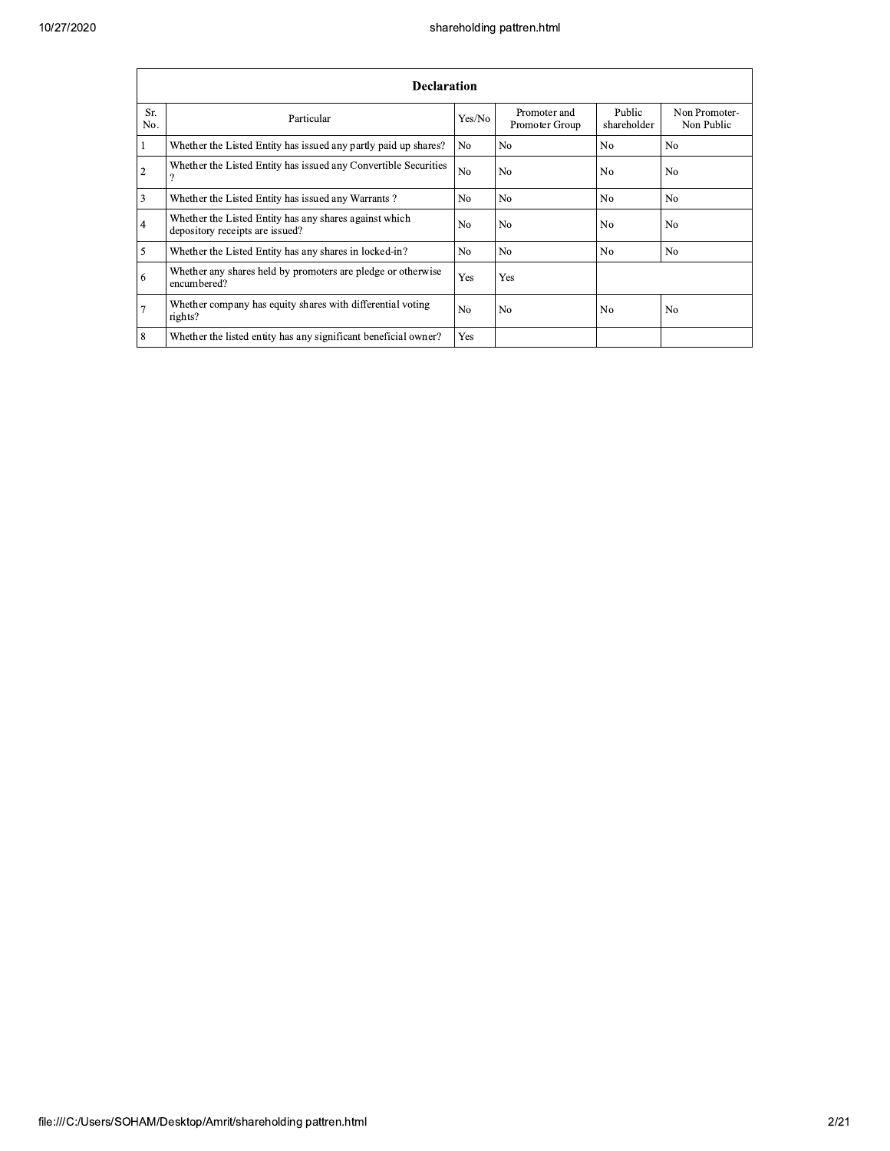|                | <b>Declaration</b>                                                                        |                |                                |                       |                             |  |  |  |  |  |  |
|----------------|-------------------------------------------------------------------------------------------|----------------|--------------------------------|-----------------------|-----------------------------|--|--|--|--|--|--|
| Sr.<br>No.     | Particular                                                                                | Yes/No         | Promoter and<br>Promoter Group | Public<br>shareholder | Non Promoter-<br>Non Public |  |  |  |  |  |  |
| $\mathbf{1}$   | Whether the Listed Entity has issued any partly paid up shares?                           | N <sub>0</sub> | N <sub>0</sub>                 | N <sub>0</sub>        | N <sub>0</sub>              |  |  |  |  |  |  |
| $\overline{2}$ | Whether the Listed Entity has issued any Convertible Securities<br>$\Omega$               | N <sub>o</sub> | No                             | N <sub>0</sub>        | N <sub>0</sub>              |  |  |  |  |  |  |
| $\overline{3}$ | Whether the Listed Entity has issued any Warrants?                                        | N <sub>0</sub> | N <sub>0</sub>                 | N <sub>0</sub>        | N <sub>0</sub>              |  |  |  |  |  |  |
| $\overline{4}$ | Whether the Listed Entity has any shares against which<br>depository receipts are issued? | N <sub>0</sub> | No                             | N <sub>0</sub>        | N <sub>0</sub>              |  |  |  |  |  |  |
| 5              | Whether the Listed Entity has any shares in locked-in?                                    | N <sub>0</sub> | N <sub>0</sub>                 | N <sub>0</sub>        | N <sub>0</sub>              |  |  |  |  |  |  |
| 6              | Whether any shares held by promoters are pledge or otherwise<br>encumbered?               | Yes            | Yes                            |                       |                             |  |  |  |  |  |  |
| $\overline{7}$ | Whether company has equity shares with differential voting<br>rights?                     | N <sub>0</sub> | N <sub>0</sub>                 | No                    | No                          |  |  |  |  |  |  |
| 8              | Whether the listed entity has any significant beneficial owner?                           | Yes            |                                |                       |                             |  |  |  |  |  |  |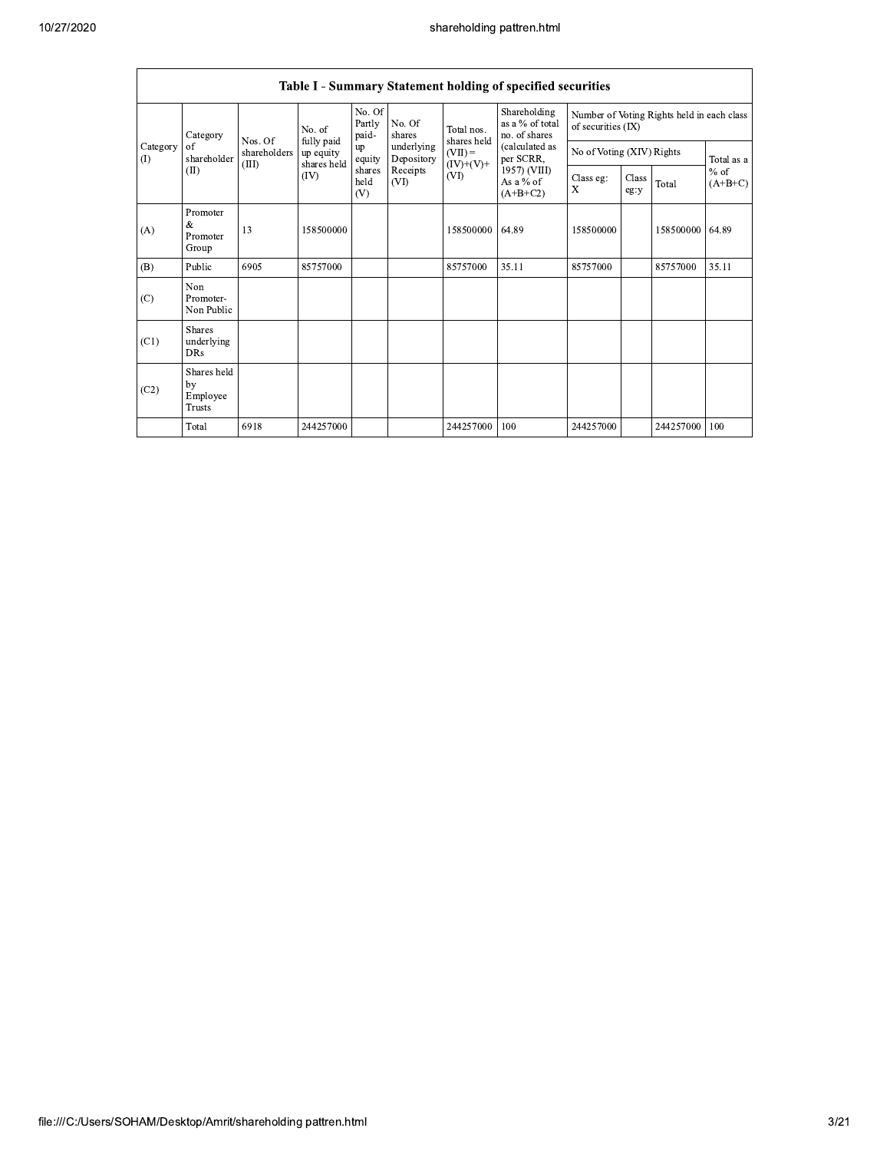|                 | Table I - Summary Statement holding of specified securities |                                  |                                        |                           |                          |                           |                                                  |                                                                  |               |           |                                   |  |
|-----------------|-------------------------------------------------------------|----------------------------------|----------------------------------------|---------------------------|--------------------------|---------------------------|--------------------------------------------------|------------------------------------------------------------------|---------------|-----------|-----------------------------------|--|
|                 | Category<br>of<br>shareholder<br>(II)                       |                                  | No. of                                 | No. Of<br>Partly<br>paid- | No. Of<br>shares         | Total nos.<br>shares held | Shareholding<br>as a % of total<br>no. of shares | Number of Voting Rights held in each class<br>of securities (IX) |               |           |                                   |  |
| Category<br>(1) |                                                             | Nos. Of<br>shareholders<br>(III) | fully paid<br>up equity<br>shares held | up<br>equity              | underlying<br>Depository | $(VII) =$<br>$(IV)+(V)+$  | (calculated as<br>per SCRR,                      | No of Voting (XIV) Rights                                        |               |           | Total as a<br>$%$ of<br>$(A+B+C)$ |  |
|                 |                                                             |                                  | (IV)                                   | shares<br>held<br>(V)     | Receipts<br>(VI)         | (VI)                      | 1957) (VIII)<br>As a % of<br>$(A+B+C2)$          | Class eg:<br>X                                                   | Class<br>eg:y | Total     |                                   |  |
| (A)             | Promoter<br>&<br>Promoter<br>Group                          | 13                               | 158500000                              |                           |                          | 158500000                 | 64.89                                            | 158500000                                                        |               | 158500000 | 64.89                             |  |
| (B)             | Public                                                      | 6905                             | 85757000                               |                           |                          | 85757000                  | 35.11                                            | 85757000                                                         |               | 85757000  | 35.11                             |  |
| (C)             | Non<br>Promoter-<br>Non Public                              |                                  |                                        |                           |                          |                           |                                                  |                                                                  |               |           |                                   |  |
| (C1)            | <b>Shares</b><br>underlying<br><b>DRs</b>                   |                                  |                                        |                           |                          |                           |                                                  |                                                                  |               |           |                                   |  |
| (C2)            | Shares held<br>by<br>Employee<br><b>Trusts</b>              |                                  |                                        |                           |                          |                           |                                                  |                                                                  |               |           |                                   |  |
|                 | Total                                                       | 6918                             | 244257000                              |                           |                          | 244257000                 | 100                                              | 244257000                                                        |               | 244257000 | 100                               |  |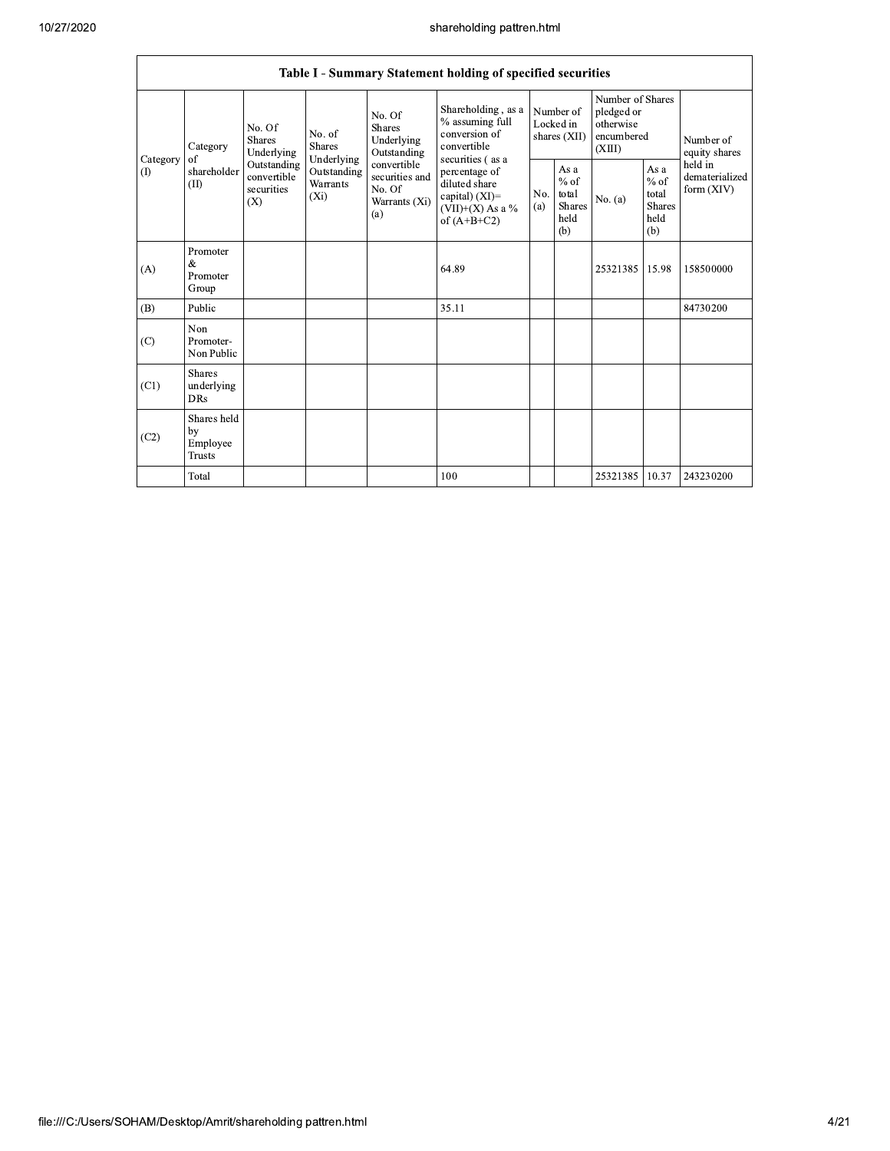|                 |                                                |                                                                                                                                                                         |                                                                 |                                                                                         | Table I - Summary Statement holding of specified securities                               |                                                  |         |                                                                     |                                         |                            |
|-----------------|------------------------------------------------|-------------------------------------------------------------------------------------------------------------------------------------------------------------------------|-----------------------------------------------------------------|-----------------------------------------------------------------------------------------|-------------------------------------------------------------------------------------------|--------------------------------------------------|---------|---------------------------------------------------------------------|-----------------------------------------|----------------------------|
| Category<br>(1) | Category<br>of<br>shareholder<br>(II)          | No. Of<br>No. of<br><b>Shares</b><br><b>Shares</b><br>Underlying<br>Underlying<br>Outstanding<br>Outstanding<br>convertible<br>Warrants<br>securities<br>$(X_i)$<br>(X) |                                                                 | No. Of<br><b>Shares</b><br>Underlying<br>Outstanding                                    | Shareholding, as a<br>% assuming full<br>conversion of<br>convertible<br>securities (as a | Number of<br>Locked in<br>shares (XII)           |         | Number of Shares<br>pledged or<br>otherwise<br>encumbered<br>(XIII) |                                         | Number of<br>equity shares |
|                 |                                                |                                                                                                                                                                         | convertible<br>securities and<br>No. Of<br>Warrants (Xi)<br>(a) | percentage of<br>diluted share<br>capital) (XI)=<br>$(VII)+(X)$ As a %<br>of $(A+B+C2)$ | No.<br>(a)                                                                                | As a<br>$%$ of<br>total<br>Shares<br>held<br>(b) | No. (a) | As a<br>$%$ of<br>total<br><b>Shares</b><br>held<br>(b)             | held in<br>dematerialized<br>form (XIV) |                            |
| (A)             | Promoter<br>&<br>Promoter<br>Group             |                                                                                                                                                                         |                                                                 |                                                                                         | 64.89                                                                                     |                                                  |         | 25321385 15.98                                                      |                                         | 158500000                  |
| (B)             | Public                                         |                                                                                                                                                                         |                                                                 |                                                                                         | 35.11                                                                                     |                                                  |         |                                                                     |                                         | 84730200                   |
| (C)             | Non<br>Promoter-<br>Non Public                 |                                                                                                                                                                         |                                                                 |                                                                                         |                                                                                           |                                                  |         |                                                                     |                                         |                            |
| (C1)            | <b>Shares</b><br>underlying<br><b>DRs</b>      |                                                                                                                                                                         |                                                                 |                                                                                         |                                                                                           |                                                  |         |                                                                     |                                         |                            |
| (C2)            | Shares held<br>by<br>Employee<br><b>Trusts</b> |                                                                                                                                                                         |                                                                 |                                                                                         |                                                                                           |                                                  |         |                                                                     |                                         |                            |
|                 | Total                                          |                                                                                                                                                                         |                                                                 |                                                                                         | 100                                                                                       |                                                  |         | 25321385 10.37                                                      |                                         | 243230200                  |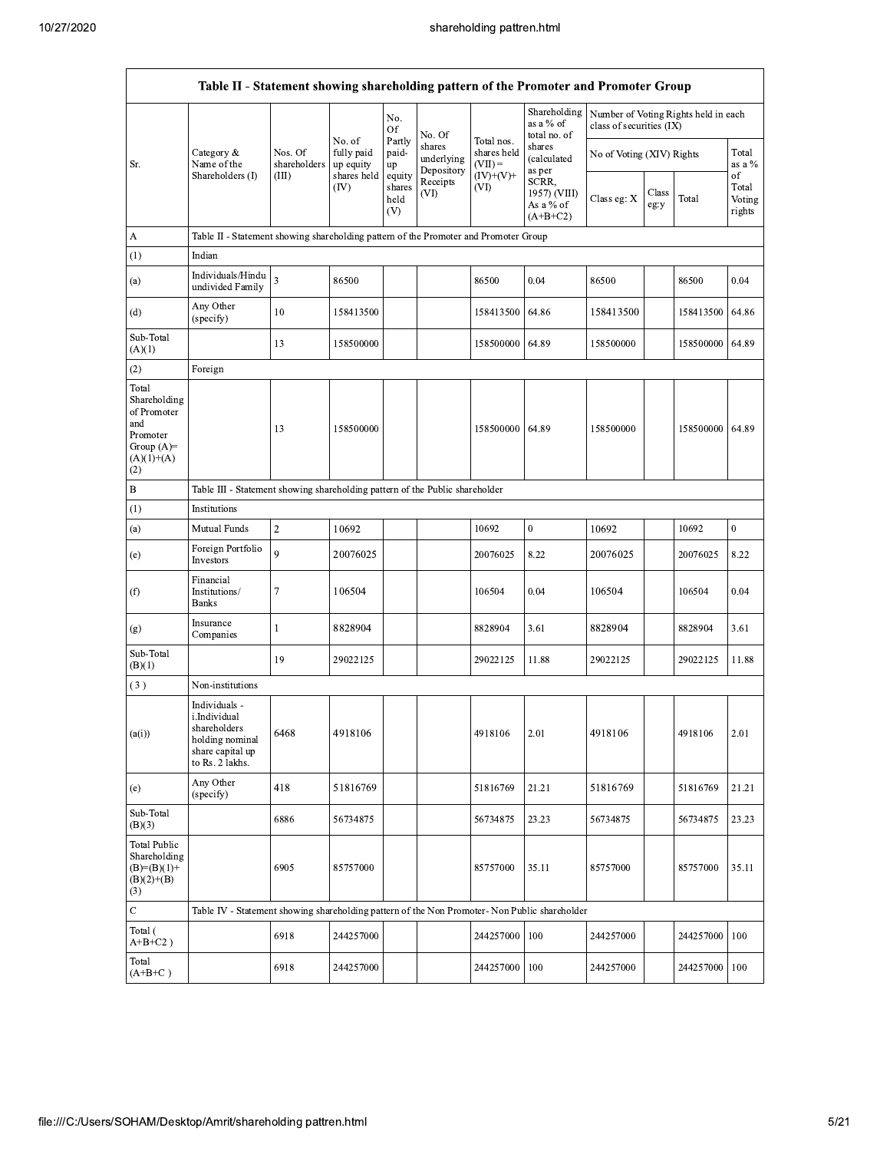|                                                                                                | Table II - Statement showing shareholding pattern of the Promoter and Promoter Group                    |                         |                                   |                                 |                                    |                                        |                                                  |                                                                  |               |           |                                 |
|------------------------------------------------------------------------------------------------|---------------------------------------------------------------------------------------------------------|-------------------------|-----------------------------------|---------------------------------|------------------------------------|----------------------------------------|--------------------------------------------------|------------------------------------------------------------------|---------------|-----------|---------------------------------|
|                                                                                                |                                                                                                         |                         |                                   | No.<br>Of                       | No. Of                             |                                        | Shareholding<br>as a % of<br>total no. of        | Number of Voting Rights held in each<br>class of securities (IX) |               |           |                                 |
| Sr.                                                                                            | Category &<br>Name of the                                                                               | Nos. Of<br>shareholders | No. of<br>fully paid<br>up equity | Partly<br>paid-<br>up           | shares<br>underlying<br>Depository | Total nos.<br>shares held<br>$(VII) =$ | shares<br>(calculated<br>as per                  | No of Voting (XIV) Rights                                        |               |           | Total<br>as a $\%$              |
|                                                                                                | Shareholders (I)                                                                                        | (III)                   | shares held<br>(IV)               | equity<br>shares<br>held<br>(V) | Receipts<br>(VI)                   | $(IV)+(V)+$<br>(VI)                    | SCRR,<br>1957) (VIII)<br>As a % of<br>$(A+B+C2)$ | Class eg: X                                                      | Class<br>eg y | Total     | of<br>Total<br>Voting<br>rights |
| А                                                                                              | Table II - Statement showing shareholding pattern of the Promoter and Promoter Group                    |                         |                                   |                                 |                                    |                                        |                                                  |                                                                  |               |           |                                 |
| (1)                                                                                            | Indian                                                                                                  |                         |                                   |                                 |                                    |                                        |                                                  |                                                                  |               |           |                                 |
| (a)                                                                                            | Individuals/Hindu<br>undivided Family                                                                   | $\overline{3}$          | 86500                             |                                 |                                    | 86500                                  | 0.04                                             | 86500                                                            |               | 86500     | 0.04                            |
| (d)                                                                                            | Any Other<br>(specify)                                                                                  | 10                      | 158413500                         |                                 |                                    | 158413500                              | 64.86                                            | 158413500                                                        |               | 158413500 | 64.86                           |
| Sub-Total<br>(A)(1)                                                                            |                                                                                                         | 13                      | 158500000                         |                                 |                                    | 158500000                              | 64.89                                            | 158500000                                                        |               | 158500000 | 64.89                           |
| (2)                                                                                            | Foreign                                                                                                 |                         |                                   |                                 |                                    |                                        |                                                  |                                                                  |               |           |                                 |
| Total<br>Shareholding<br>of Promoter<br>and<br>Promoter<br>Group $(A)=$<br>$(A)(1)+(A)$<br>(2) |                                                                                                         | 13                      | 158500000                         |                                 |                                    | 158500000                              | 64.89                                            | 158500000                                                        |               | 158500000 | 64.89                           |
| B                                                                                              | Table III - Statement showing shareholding pattern of the Public shareholder                            |                         |                                   |                                 |                                    |                                        |                                                  |                                                                  |               |           |                                 |
| (1)                                                                                            | Institutions                                                                                            |                         |                                   |                                 |                                    |                                        |                                                  |                                                                  |               |           |                                 |
| (a)                                                                                            | Mutual Funds                                                                                            | $\overline{c}$          | 10692                             |                                 |                                    | 10692                                  | $\overline{0}$                                   | 10692                                                            |               | 10692     | $\mathbf{0}$                    |
| (e)                                                                                            | Foreign Portfolio<br>Investors                                                                          | 9                       | 20076025                          |                                 |                                    | 20076025                               | 8.22                                             | 20076025                                                         |               | 20076025  | 8.22                            |
| (f)                                                                                            | Financial<br>Institutions/<br><b>Banks</b>                                                              | 7                       | 106504                            |                                 |                                    | 106504                                 | 0.04                                             | 106504                                                           |               | 106504    | 0.04                            |
| (g)                                                                                            | Insurance<br>Companies                                                                                  | $\mathbf{1}$            | 8828904                           |                                 |                                    | 8828904                                | 3.61                                             | 8828904                                                          |               | 8828904   | 3.61                            |
| Sub-Total<br>(B)(1)                                                                            |                                                                                                         | 19                      | 29022125                          |                                 |                                    | 29022125                               | 11.88                                            | 29022125                                                         |               | 29022125  | 11.88                           |
| (3)                                                                                            | Non-institutions                                                                                        |                         |                                   |                                 |                                    |                                        |                                                  |                                                                  |               |           |                                 |
| (a(i))                                                                                         | Individuals -<br>i.Individual<br>shareholders<br>holding nominal<br>share capital up<br>to Rs. 2 lakhs. | 6468                    | 4918106                           |                                 |                                    | 4918106                                | 2.01                                             | 4918106                                                          |               | 4918106   | 2.01                            |
| (e)                                                                                            | Any Other<br>(specify)                                                                                  | 418                     | 51816769                          |                                 |                                    | 51816769                               | 21.21                                            | 51816769                                                         |               | 51816769  | 21.21                           |
| Sub-Total<br>(B)(3)                                                                            |                                                                                                         | 6886                    | 56734875                          |                                 |                                    | 56734875                               | 23.23                                            | 56734875                                                         |               | 56734875  | 23.23                           |
| <b>Total Public</b><br>Shareholding<br>$(B)=(B)(1)+$<br>$(B)(2)+(B)$<br>(3)                    |                                                                                                         | 6905                    | 85757000                          |                                 |                                    | 85757000                               | 35.11                                            | 85757000                                                         |               | 85757000  | 35.11                           |
| C                                                                                              | Table IV - Statement showing shareholding pattern of the Non Promoter- Non Public shareholder           |                         |                                   |                                 |                                    |                                        |                                                  |                                                                  |               |           |                                 |
| Total (<br>$A+B+C2$ )                                                                          |                                                                                                         | 6918                    | 244257000                         |                                 |                                    | 244257000                              | 100                                              | 244257000                                                        |               | 244257000 | 100                             |
| Total<br>$(A+B+C)$                                                                             |                                                                                                         | 6918                    | 244257000                         |                                 |                                    | 244257000                              | 100                                              | 244257000                                                        |               | 244257000 | 100                             |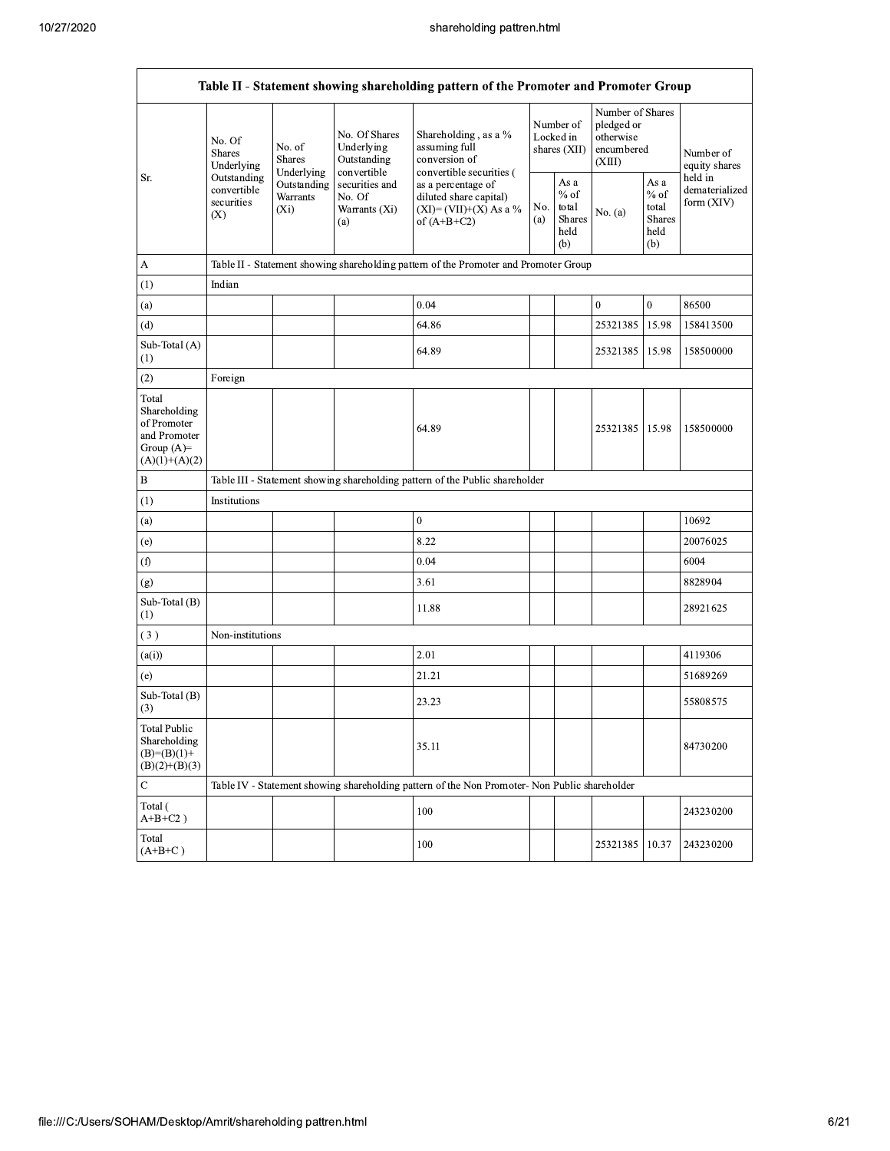|                                                                                          |                                                                                                                                                                         |                                                                 |                                                                                                                      | Table II - Statement showing shareholding pattern of the Promoter and Promoter Group          |                                                  |                                        |                                                                     |                                           |                            |
|------------------------------------------------------------------------------------------|-------------------------------------------------------------------------------------------------------------------------------------------------------------------------|-----------------------------------------------------------------|----------------------------------------------------------------------------------------------------------------------|-----------------------------------------------------------------------------------------------|--------------------------------------------------|----------------------------------------|---------------------------------------------------------------------|-------------------------------------------|----------------------------|
|                                                                                          | No. Of<br>No. of<br><b>Shares</b><br><b>Shares</b><br>Underlying<br>Underlying<br>Outstanding<br>Outstanding<br>convertible<br>Warrants<br>securities<br>$(X_i)$<br>(X) |                                                                 | No. Of Shares<br>Underlying<br>Outstanding                                                                           | Shareholding, as a %<br>assuming full<br>conversion of                                        |                                                  | Number of<br>Locked in<br>shares (XII) | Number of Shares<br>pledged or<br>otherwise<br>encumbered<br>(XIII) |                                           | Number of<br>equity shares |
| Sr.                                                                                      |                                                                                                                                                                         | convertible<br>securities and<br>No. Of<br>Warrants (Xi)<br>(a) | convertible securities (<br>as a percentage of<br>diluted share capital)<br>$(XI)=(VII)+(X) As a %$<br>of $(A+B+C2)$ | No.<br>(a)                                                                                    | As a<br>$%$ of<br>total<br>Shares<br>held<br>(b) | No. (a)                                | As a<br>$%$ of<br>total<br><b>Shares</b><br>held<br>(b)             | held in<br>dematerialized<br>form $(XIV)$ |                            |
| A                                                                                        |                                                                                                                                                                         |                                                                 |                                                                                                                      | Table II - Statement showing shareholding pattern of the Promoter and Promoter Group          |                                                  |                                        |                                                                     |                                           |                            |
| (1)                                                                                      | Indian                                                                                                                                                                  |                                                                 |                                                                                                                      |                                                                                               |                                                  |                                        |                                                                     |                                           |                            |
| (a)                                                                                      |                                                                                                                                                                         |                                                                 |                                                                                                                      | 0.04                                                                                          |                                                  |                                        | $\boldsymbol{0}$                                                    | $\boldsymbol{0}$                          | 86500                      |
| (d)                                                                                      |                                                                                                                                                                         |                                                                 |                                                                                                                      | 64.86                                                                                         |                                                  |                                        | 25321385                                                            | 15.98                                     | 158413500                  |
| Sub-Total (A)<br>(1)                                                                     |                                                                                                                                                                         |                                                                 |                                                                                                                      | 64.89                                                                                         |                                                  |                                        | 25321385                                                            | 15.98                                     | 158500000                  |
| (2)                                                                                      | Foreign                                                                                                                                                                 |                                                                 |                                                                                                                      |                                                                                               |                                                  |                                        |                                                                     |                                           |                            |
| Total<br>Shareholding<br>of Promoter<br>and Promoter<br>Group $(A)$ =<br>$(A)(1)+(A)(2)$ |                                                                                                                                                                         |                                                                 |                                                                                                                      | 64.89                                                                                         |                                                  |                                        | 25321385   15.98                                                    |                                           | 158500000                  |
| B                                                                                        |                                                                                                                                                                         |                                                                 |                                                                                                                      | Table III - Statement showing shareholding pattern of the Public shareholder                  |                                                  |                                        |                                                                     |                                           |                            |
| (1)                                                                                      | Institutions                                                                                                                                                            |                                                                 |                                                                                                                      |                                                                                               |                                                  |                                        |                                                                     |                                           |                            |
| (a)                                                                                      |                                                                                                                                                                         |                                                                 |                                                                                                                      | $\boldsymbol{0}$                                                                              |                                                  |                                        |                                                                     |                                           | 10692                      |
| (e)                                                                                      |                                                                                                                                                                         |                                                                 |                                                                                                                      | 8.22                                                                                          |                                                  |                                        |                                                                     |                                           | 20076025                   |
| (f)                                                                                      |                                                                                                                                                                         |                                                                 |                                                                                                                      | 0.04                                                                                          |                                                  |                                        |                                                                     |                                           | 6004                       |
| (g)                                                                                      |                                                                                                                                                                         |                                                                 |                                                                                                                      | 3.61                                                                                          |                                                  |                                        |                                                                     |                                           | 8828904                    |
| Sub-Total (B)<br>$\left(1\right)$                                                        |                                                                                                                                                                         |                                                                 |                                                                                                                      | 11.88                                                                                         |                                                  |                                        |                                                                     |                                           | 28921625                   |
| (3)                                                                                      | Non-institutions                                                                                                                                                        |                                                                 |                                                                                                                      |                                                                                               |                                                  |                                        |                                                                     |                                           |                            |
| (a(i))                                                                                   |                                                                                                                                                                         |                                                                 |                                                                                                                      | 2.01                                                                                          |                                                  |                                        |                                                                     |                                           | 4119306                    |
| (e)                                                                                      |                                                                                                                                                                         |                                                                 |                                                                                                                      | 21.21                                                                                         |                                                  |                                        |                                                                     |                                           | 51689269                   |
| Sub-Total (B)<br>(3)                                                                     |                                                                                                                                                                         |                                                                 |                                                                                                                      | 23.23                                                                                         |                                                  |                                        |                                                                     |                                           | 55808575                   |
| <b>Total Public</b><br>Shareholding<br>$(B)=(B)(1)+$<br>$(B)(2)+(B)(3)$                  |                                                                                                                                                                         |                                                                 |                                                                                                                      | 35.11                                                                                         |                                                  |                                        |                                                                     |                                           | 84730200                   |
| $\mathbf C$                                                                              |                                                                                                                                                                         |                                                                 |                                                                                                                      | Table IV - Statement showing shareholding pattern of the Non Promoter- Non Public shareholder |                                                  |                                        |                                                                     |                                           |                            |
| Total (                                                                                  |                                                                                                                                                                         |                                                                 |                                                                                                                      | 100                                                                                           |                                                  |                                        |                                                                     |                                           | 243230200                  |
| $A+B+C2$ )<br>Total<br>$(A+B+C)$                                                         |                                                                                                                                                                         |                                                                 |                                                                                                                      | 100                                                                                           |                                                  |                                        | 25321385                                                            | 10.37                                     | 243230200                  |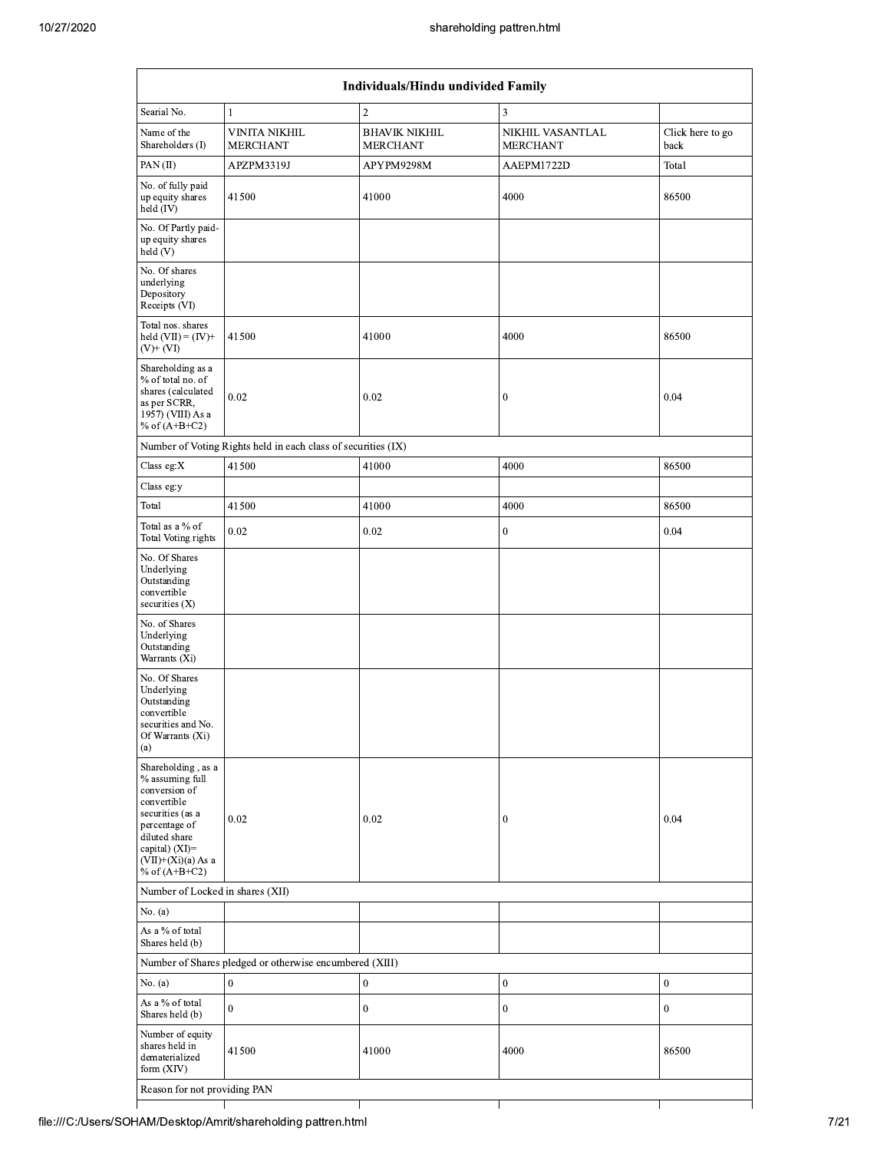|                                                                                                                                                                                          |                                                                             |                                         | shareholding pattren.html           |                          |
|------------------------------------------------------------------------------------------------------------------------------------------------------------------------------------------|-----------------------------------------------------------------------------|-----------------------------------------|-------------------------------------|--------------------------|
|                                                                                                                                                                                          |                                                                             | Individuals/Hindu undivided Family      |                                     |                          |
| Searial No.                                                                                                                                                                              | $\mathbf{1}$                                                                | $\overline{c}$                          | $\overline{\mathbf{3}}$             |                          |
| Name of the<br>Shareholders (I)                                                                                                                                                          | <b>VINITA NIKHIL</b><br><b>MERCHANT</b>                                     | <b>BHAVIK NIKHIL</b><br><b>MERCHANT</b> | NIKHIL VASANTLAL<br><b>MERCHANT</b> | Click here to go<br>back |
| PAN $(II)$                                                                                                                                                                               | APZPM3319J                                                                  | APYPM9298M                              | AAEPM1722D                          | Total                    |
| No. of fully paid<br>up equity shares<br>held (IV)                                                                                                                                       | 41500                                                                       | 41000                                   | 4000                                | 86500                    |
| No. Of Partly paid-<br>up equity shares<br>held $(V)$                                                                                                                                    |                                                                             |                                         |                                     |                          |
| No. Of shares<br>underlying<br>Depository<br>Receipts (VI)                                                                                                                               |                                                                             |                                         |                                     |                          |
| Total nos. shares<br>held $(VII) = (IV) +$<br>$(V)$ + $(VI)$                                                                                                                             | 41500                                                                       | 41000                                   | 4000                                | 86500                    |
| Shareholding as a<br>% of total no. of<br>shares (calculated<br>as per SCRR,<br>1957) (VIII) As a<br>% of $(A+B+C2)$                                                                     | 0.02                                                                        | 0.02                                    | $\boldsymbol{0}$                    | 0.04                     |
|                                                                                                                                                                                          | Number of Voting Rights held in each class of securities (IX)               |                                         |                                     |                          |
| Class eg: $X$                                                                                                                                                                            | 41500                                                                       | 41000                                   | 4000                                | 86500                    |
| Class eg:y                                                                                                                                                                               |                                                                             |                                         |                                     |                          |
| Total                                                                                                                                                                                    | 41500                                                                       | 41000                                   | 4000                                | 86500                    |
| Total as a % of<br>Total Voting rights                                                                                                                                                   | 0.02                                                                        | 0.02                                    | $\boldsymbol{0}$                    | 0.04                     |
| No. Of Shares<br>Underlying<br>Outstanding<br>convertible<br>securities $(X)$                                                                                                            |                                                                             |                                         |                                     |                          |
| No. of Shares<br>Underlying<br>Outstanding<br>Warrants (Xi)                                                                                                                              |                                                                             |                                         |                                     |                          |
| No. Of Shares<br>Underlying<br>Outstanding<br>convertible<br>securities and No.<br>Of Warrants (Xi)<br>(a)                                                                               |                                                                             |                                         |                                     |                          |
| Shareholding, as a<br>% assuming full<br>conversion of<br>convertible<br>securities (as a<br>percentage of<br>diluted share<br>capital) (XI)=<br>$(VII)+(Xi)(a) As a$<br>% of $(A+B+C2)$ | 0.02                                                                        | 0.02                                    | $\mathbf{0}$                        | 0.04                     |
| Number of Locked in shares (XII)                                                                                                                                                         |                                                                             |                                         |                                     |                          |
| No. (a)                                                                                                                                                                                  |                                                                             |                                         |                                     |                          |
| As a % of total<br>Shares held (b)                                                                                                                                                       |                                                                             |                                         |                                     |                          |
| No. $(a)$                                                                                                                                                                                | Number of Shares pledged or otherwise encumbered (XIII)<br>$\boldsymbol{0}$ | $\boldsymbol{0}$                        | $\boldsymbol{0}$                    | $\bf{0}$                 |
| As a % of total                                                                                                                                                                          |                                                                             |                                         |                                     |                          |
| Shares held (b)                                                                                                                                                                          | $\boldsymbol{0}$                                                            | $\boldsymbol{0}$                        | $\boldsymbol{0}$                    | $\boldsymbol{0}$         |
| Number of equity<br>shares held in<br>dematerialized<br>form $(XIV)$                                                                                                                     | 41500                                                                       | 41000                                   | 4000                                | 86500                    |
|                                                                                                                                                                                          |                                                                             |                                         |                                     |                          |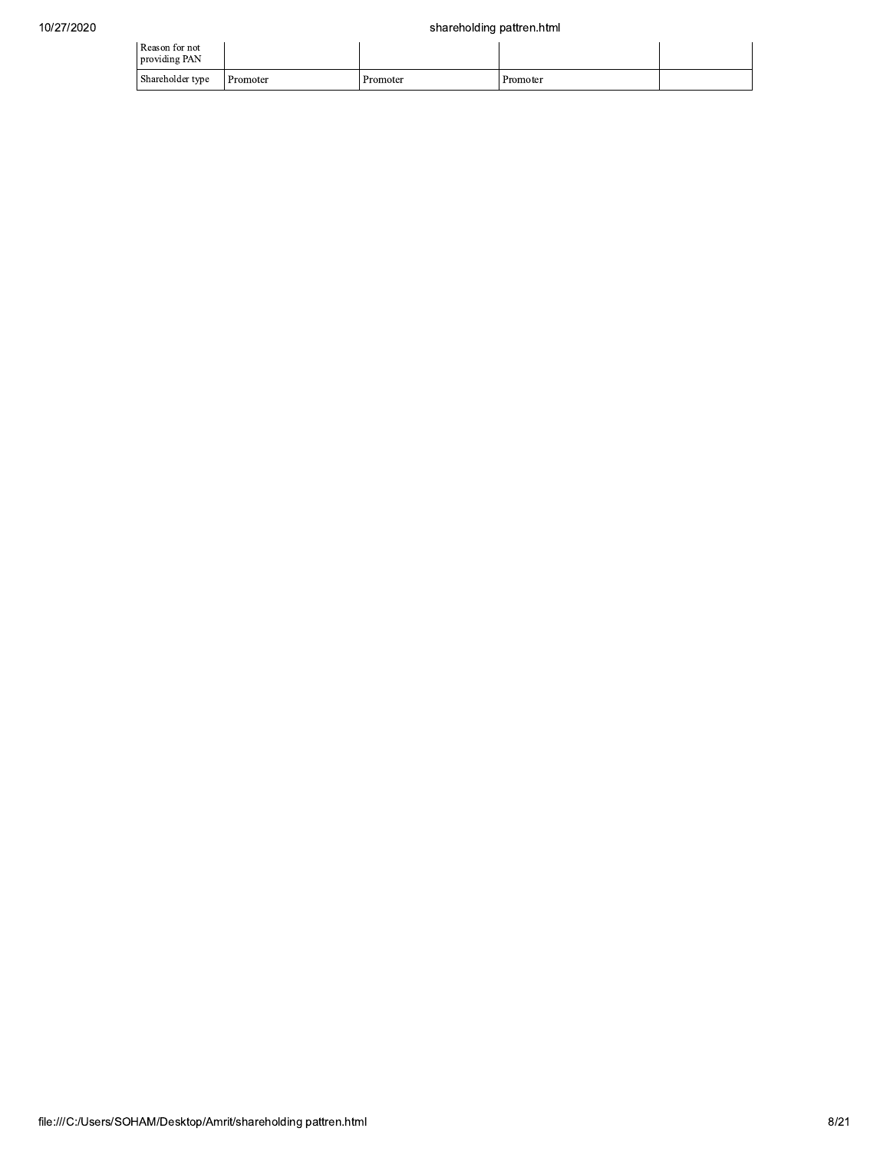| Reason for not<br>providing PAN |          |          |          |  |
|---------------------------------|----------|----------|----------|--|
| Shareholder type                | Promoter | Promoter | Promoter |  |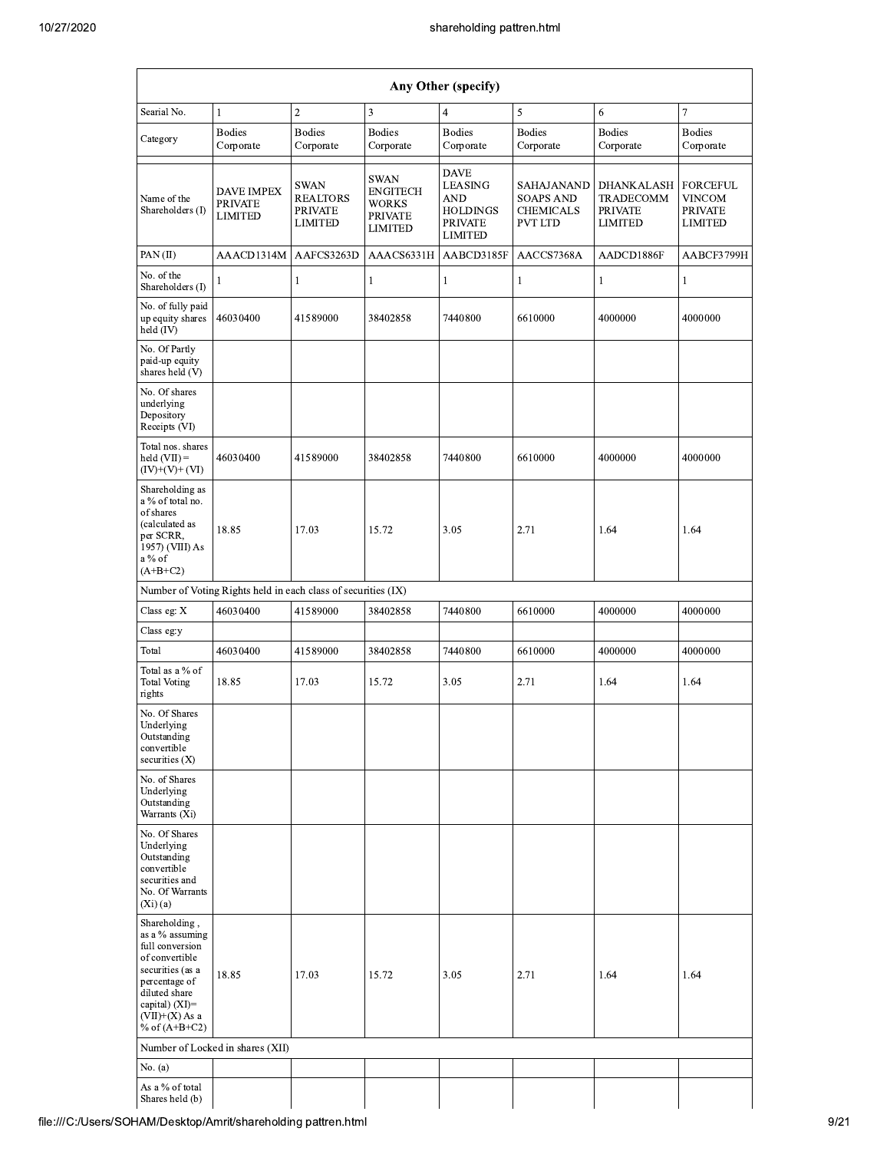|                                                                                                                                                                                        | Any Other (specify)                                           |                                                                    |                                                                                    |                                                                                                    |                                                                      |                                                                           |                                                                      |  |  |  |  |
|----------------------------------------------------------------------------------------------------------------------------------------------------------------------------------------|---------------------------------------------------------------|--------------------------------------------------------------------|------------------------------------------------------------------------------------|----------------------------------------------------------------------------------------------------|----------------------------------------------------------------------|---------------------------------------------------------------------------|----------------------------------------------------------------------|--|--|--|--|
| Searial No.                                                                                                                                                                            | $\mathbf{1}$                                                  | $\sqrt{2}$                                                         | 3                                                                                  | $\overline{4}$                                                                                     | 5                                                                    | 6                                                                         | $\overline{7}$                                                       |  |  |  |  |
| Category                                                                                                                                                                               | <b>Bodies</b><br>Corporate                                    | <b>Bodies</b><br>Corporate                                         | <b>Bodies</b><br>Corporate                                                         | <b>Bodies</b><br>Corporate                                                                         | <b>Bodies</b><br>Corporate                                           | <b>Bodies</b><br>Corporate                                                | <b>Bodies</b><br>Corporate                                           |  |  |  |  |
| Name of the<br>Shareholders (I)                                                                                                                                                        | DAVE IMPEX<br><b>PRIVATE</b><br><b>LIMITED</b>                | <b>SWAN</b><br><b>REALTORS</b><br><b>PRIVATE</b><br><b>LIMITED</b> | <b>SWAN</b><br><b>ENGITECH</b><br><b>WORKS</b><br><b>PRIVATE</b><br><b>LIMITED</b> | <b>DAVE</b><br><b>LEASING</b><br><b>AND</b><br><b>HOLDINGS</b><br><b>PRIVATE</b><br><b>LIMITED</b> | SAHAJANAND<br><b>SOAPS AND</b><br><b>CHEMICALS</b><br><b>PVT LTD</b> | <b>DHANKALASH</b><br><b>TRADECOMM</b><br><b>PRIVATE</b><br><b>LIMITED</b> | <b>FORCEFUL</b><br><b>VINCOM</b><br><b>PRIVATE</b><br><b>LIMITED</b> |  |  |  |  |
| PAN(II)                                                                                                                                                                                | AAACD1314M                                                    | AAFCS3263D                                                         | AAACS6331H                                                                         | AABCD3185F                                                                                         | AACCS7368A                                                           | AADCD1886F                                                                | AABCF3799H                                                           |  |  |  |  |
| No. of the<br>Shareholders (I)                                                                                                                                                         | 1                                                             | 1                                                                  | 1                                                                                  | 1                                                                                                  | $\mathbf{1}$                                                         | $\mathbf{1}$                                                              | 1                                                                    |  |  |  |  |
| No. of fully paid<br>up equity shares<br>held (IV)                                                                                                                                     | 46030400                                                      | 41589000                                                           | 38402858                                                                           | 7440800                                                                                            | 6610000                                                              | 4000000                                                                   | 4000000                                                              |  |  |  |  |
| No. Of Partly<br>paid-up equity<br>shares held (V)                                                                                                                                     |                                                               |                                                                    |                                                                                    |                                                                                                    |                                                                      |                                                                           |                                                                      |  |  |  |  |
| No. Of shares<br>underlying<br>Depository<br>Receipts (VI)                                                                                                                             |                                                               |                                                                    |                                                                                    |                                                                                                    |                                                                      |                                                                           |                                                                      |  |  |  |  |
| Total nos. shares<br>held $(VII) =$<br>$(IV)+(V)+(VI)$                                                                                                                                 | 46030400                                                      | 41589000                                                           | 38402858                                                                           | 7440800                                                                                            | 6610000                                                              | 4000000                                                                   | 4000000                                                              |  |  |  |  |
| Shareholding as<br>a % of total no.<br>of shares<br>(calculated as<br>per SCRR,<br>1957) (VIII) As<br>a % of<br>$(A+B+C2)$                                                             | 18.85                                                         | 17.03                                                              | 15.72                                                                              | 3.05                                                                                               | 2.71                                                                 | 1.64                                                                      | 1.64                                                                 |  |  |  |  |
|                                                                                                                                                                                        | Number of Voting Rights held in each class of securities (IX) |                                                                    |                                                                                    |                                                                                                    |                                                                      |                                                                           |                                                                      |  |  |  |  |
| Class eg: X                                                                                                                                                                            | 46030400                                                      | 41589000                                                           | 38402858                                                                           | 7440800                                                                                            | 6610000                                                              | 4000000                                                                   | 4000000                                                              |  |  |  |  |
| Class eg:y                                                                                                                                                                             |                                                               |                                                                    |                                                                                    |                                                                                                    |                                                                      |                                                                           |                                                                      |  |  |  |  |
| Total                                                                                                                                                                                  | 46030400                                                      | 41589000                                                           | 38402858                                                                           | 7440800                                                                                            | 6610000                                                              | 4000000                                                                   | 4000000                                                              |  |  |  |  |
| Total as a % of<br><b>Total Voting</b><br>rights                                                                                                                                       | 18.85                                                         | 17.03                                                              | 15.72                                                                              | 3.05                                                                                               | 2.71                                                                 | 1.64                                                                      | 1.64                                                                 |  |  |  |  |
| No. Of Shares<br>Underlying<br>Outstanding<br>convertible<br>securities $(X)$                                                                                                          |                                                               |                                                                    |                                                                                    |                                                                                                    |                                                                      |                                                                           |                                                                      |  |  |  |  |
| No. of Shares<br>Underlying<br>Outstanding<br>Warrants (Xi)                                                                                                                            |                                                               |                                                                    |                                                                                    |                                                                                                    |                                                                      |                                                                           |                                                                      |  |  |  |  |
| No. Of Shares<br>Underlying<br>Outstanding<br>convertible<br>securities and<br>No. Of Warrants<br>(Xi)(a)                                                                              |                                                               |                                                                    |                                                                                    |                                                                                                    |                                                                      |                                                                           |                                                                      |  |  |  |  |
| Shareholding,<br>as a % assuming<br>full conversion<br>of convertible<br>securities (as a<br>percentage of<br>diluted share<br>capital) $(XI)=$<br>$(VII)+(X)$ As a<br>% of $(A+B+C2)$ | 18.85                                                         | 17.03                                                              | 15.72                                                                              | 3.05                                                                                               | 2.71                                                                 | 1.64                                                                      | 1.64                                                                 |  |  |  |  |
|                                                                                                                                                                                        | Number of Locked in shares (XII)                              |                                                                    |                                                                                    |                                                                                                    |                                                                      |                                                                           |                                                                      |  |  |  |  |
| No. (a)                                                                                                                                                                                |                                                               |                                                                    |                                                                                    |                                                                                                    |                                                                      |                                                                           |                                                                      |  |  |  |  |
| As a % of total<br>Shares held (b)                                                                                                                                                     |                                                               |                                                                    |                                                                                    |                                                                                                    |                                                                      |                                                                           |                                                                      |  |  |  |  |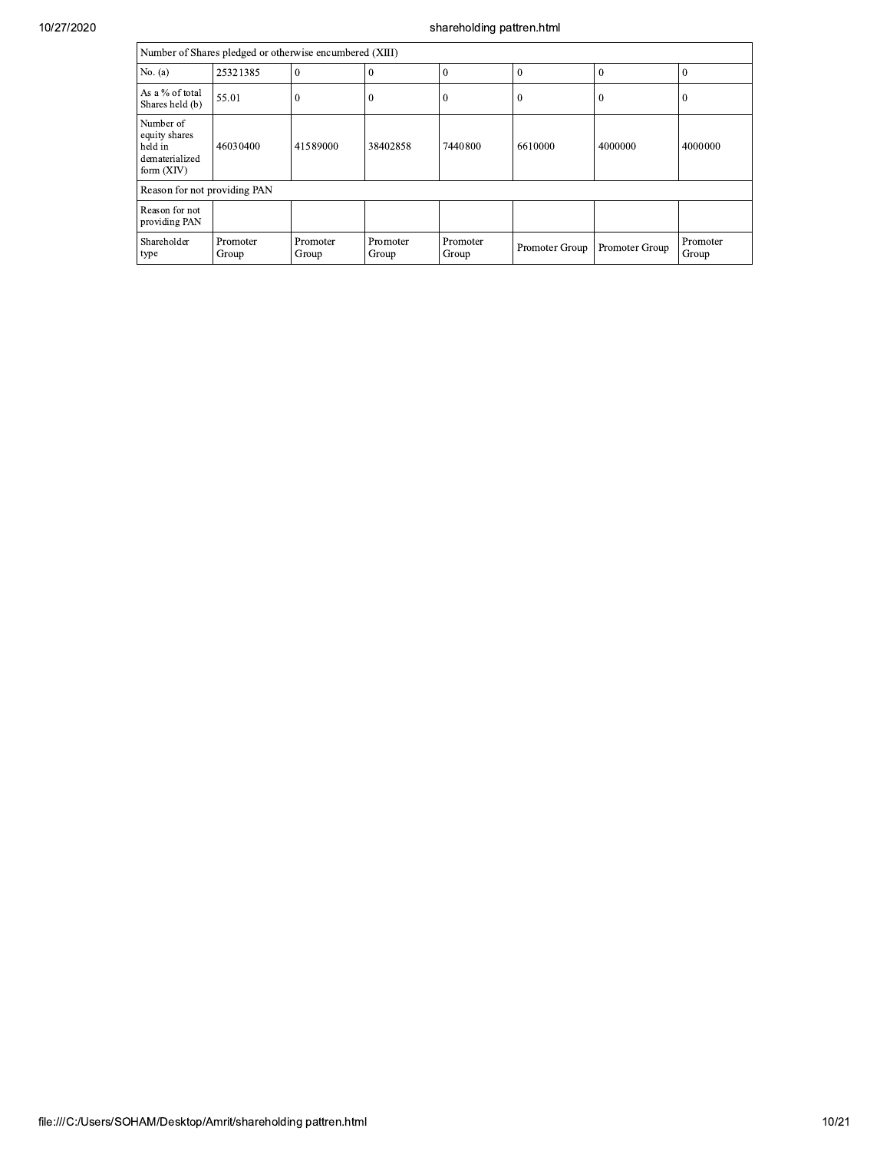|                                                                         | Number of Shares pledged or otherwise encumbered (XIII) |                   |                   |                   |                |                |                   |  |  |  |  |
|-------------------------------------------------------------------------|---------------------------------------------------------|-------------------|-------------------|-------------------|----------------|----------------|-------------------|--|--|--|--|
| No. $(a)$                                                               | 25321385                                                | $\bf{0}$          | $\overline{0}$    | $\theta$          | $\theta$       | $\Omega$       | $\Omega$          |  |  |  |  |
| As a % of total<br>Shares held (b)                                      | 55.01                                                   | $\theta$          | $\bf{0}$          | $\theta$          | $\theta$       | $\theta$       | $\theta$          |  |  |  |  |
| Number of<br>equity shares<br>held in<br>dematerialized<br>form $(XIV)$ | 46030400                                                | 41589000          | 38402858          | 7440800           | 6610000        | 4000000        | 4000000           |  |  |  |  |
| Reason for not providing PAN                                            |                                                         |                   |                   |                   |                |                |                   |  |  |  |  |
| Reason for not<br>providing PAN                                         |                                                         |                   |                   |                   |                |                |                   |  |  |  |  |
| Shareholder<br>type                                                     | Promoter<br>Group                                       | Promoter<br>Group | Promoter<br>Group | Promoter<br>Group | Promoter Group | Promoter Group | Promoter<br>Group |  |  |  |  |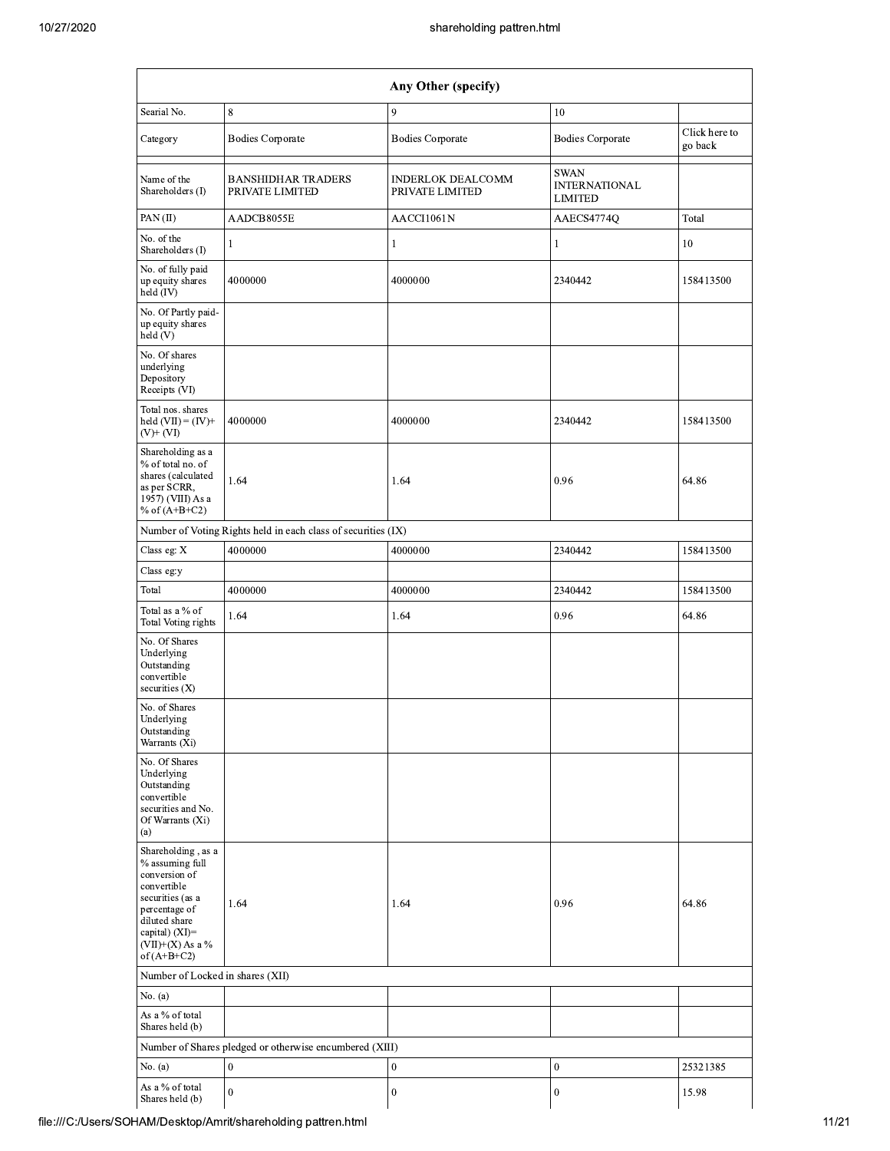|                                                                                                                                                                                      |                                                               | shareholding pattren.html                   |                                                       |               |
|--------------------------------------------------------------------------------------------------------------------------------------------------------------------------------------|---------------------------------------------------------------|---------------------------------------------|-------------------------------------------------------|---------------|
|                                                                                                                                                                                      |                                                               | Any Other (specify)                         |                                                       |               |
| Searial No.                                                                                                                                                                          | $\,$ 8 $\,$                                                   | 9                                           | 10                                                    |               |
|                                                                                                                                                                                      |                                                               |                                             |                                                       | Click here to |
| Category                                                                                                                                                                             | <b>Bodies Corporate</b>                                       | <b>Bodies Corporate</b>                     | <b>Bodies Corporate</b>                               | go back       |
| Name of the<br>Shareholders (I)                                                                                                                                                      | <b>BANSHIDHAR TRADERS</b><br>PRIVATE LIMITED                  | <b>INDERLOK DEALCOMM</b><br>PRIVATE LIMITED | <b>SWAN</b><br><b>INTERNATIONAL</b><br><b>LIMITED</b> |               |
| PAN(II)                                                                                                                                                                              | AADCB8055E                                                    | AACCI1061N                                  | AAECS4774Q                                            | Total         |
| No. of the<br>Shareholders (I)                                                                                                                                                       | $\mathbf{1}$                                                  | 1                                           | 1                                                     | 10            |
| No. of fully paid<br>up equity shares<br>held (IV)                                                                                                                                   | 4000000                                                       | 4000000                                     | 2340442                                               | 158413500     |
| No. Of Partly paid-<br>up equity shares<br>held (V)                                                                                                                                  |                                                               |                                             |                                                       |               |
| No. Of shares<br>underlying<br>Depository<br>Receipts (VI)                                                                                                                           |                                                               |                                             |                                                       |               |
| Total nos. shares<br>held $(VII) = (IV) +$<br>$(V)+(VI)$                                                                                                                             | 4000000                                                       | 4000000                                     | 2340442                                               | 158413500     |
| Shareholding as a<br>% of total no. of<br>shares (calculated<br>as per SCRR,<br>1957) (VIII) As a<br>% of $(A+B+C2)$                                                                 | 1.64                                                          | 1.64                                        | 0.96                                                  | 64.86         |
|                                                                                                                                                                                      | Number of Voting Rights held in each class of securities (IX) |                                             |                                                       |               |
| Class eg: X                                                                                                                                                                          | 4000000                                                       | 4000000                                     | 2340442                                               | 158413500     |
| Class eg:y                                                                                                                                                                           |                                                               |                                             |                                                       |               |
| Total                                                                                                                                                                                | 4000000                                                       | 4000000                                     | 2340442                                               | 158413500     |
| Total as a % of<br><b>Total Voting rights</b>                                                                                                                                        | 1.64                                                          | 1.64                                        | 0.96                                                  | 64.86         |
| No. Of Shares<br>Underlying<br>Outstanding<br>convertible<br>securities (X)                                                                                                          |                                                               |                                             |                                                       |               |
| No. of Shares<br>Underlying<br>Outstanding<br>Warrants (Xi)                                                                                                                          |                                                               |                                             |                                                       |               |
| No. Of Shares<br>Underlying<br>Outstanding<br>convertible<br>securities and No.<br>Of Warrants (Xi)<br>(a)                                                                           |                                                               |                                             |                                                       |               |
| Shareholding, as a<br>% assuming full<br>conversion of<br>convertible<br>securities (as a<br>percentage of<br>diluted share<br>capital) (XI)=<br>$(VII)+(X)$ As a %<br>of $(A+B+C2)$ | 1.64                                                          | 1.64                                        | 0.96                                                  | 64.86         |
| Number of Locked in shares (XII)                                                                                                                                                     |                                                               |                                             |                                                       |               |
| No. (a)                                                                                                                                                                              |                                                               |                                             |                                                       |               |
| As a % of total<br>Shares held (b)                                                                                                                                                   |                                                               |                                             |                                                       |               |
|                                                                                                                                                                                      | Number of Shares pledged or otherwise encumbered (XIII)       |                                             |                                                       |               |
| No. $(a)$                                                                                                                                                                            | $\boldsymbol{0}$                                              | $\boldsymbol{0}$                            | $\boldsymbol{0}$                                      | 25321385      |
| As a % of total                                                                                                                                                                      | $\mathbf{0}$                                                  | $\mathbf{0}$                                | $\boldsymbol{0}$                                      | 15.98         |
| Shares held (b)                                                                                                                                                                      |                                                               |                                             |                                                       |               |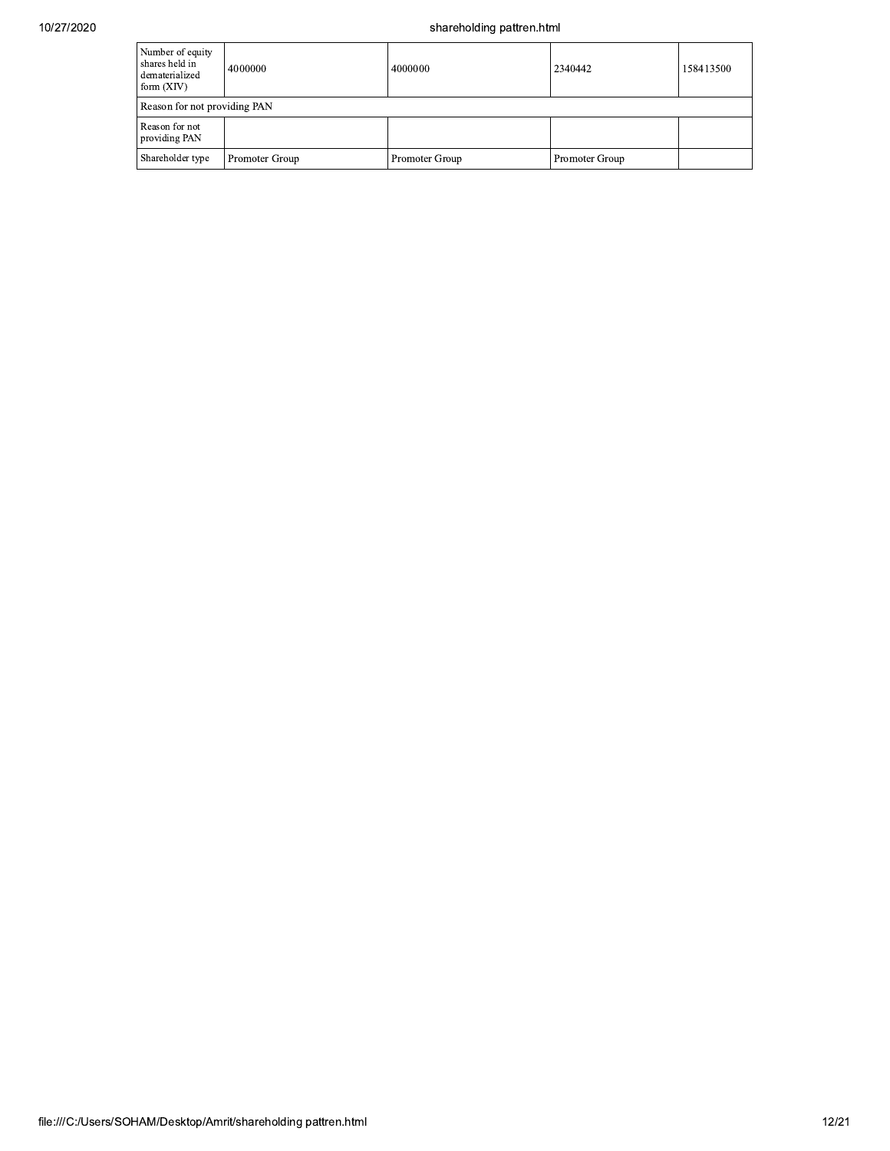| Number of equity<br>shares held in<br>dematerialized<br>form $(XIV)$ | 4000000        | 4000000        | 2340442        | 158413500 |  |  |  |  |  |
|----------------------------------------------------------------------|----------------|----------------|----------------|-----------|--|--|--|--|--|
| Reason for not providing PAN                                         |                |                |                |           |  |  |  |  |  |
| Reason for not<br>providing PAN                                      |                |                |                |           |  |  |  |  |  |
| Shareholder type                                                     | Promoter Group | Promoter Group | Promoter Group |           |  |  |  |  |  |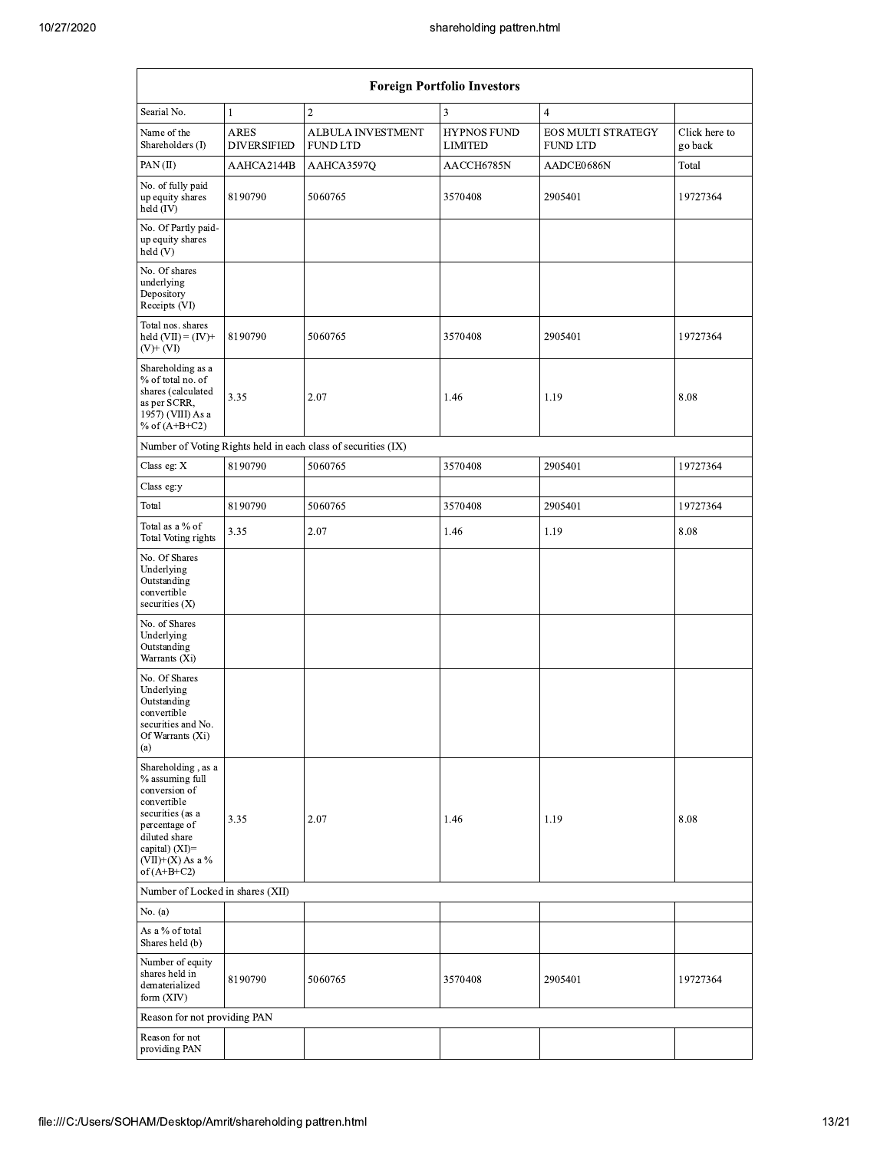|                                                                                                                                                                                      |                                   |                                                               | shareholding pattren.html            |                                              |                          |  |
|--------------------------------------------------------------------------------------------------------------------------------------------------------------------------------------|-----------------------------------|---------------------------------------------------------------|--------------------------------------|----------------------------------------------|--------------------------|--|
|                                                                                                                                                                                      |                                   |                                                               | <b>Foreign Portfolio Investors</b>   |                                              |                          |  |
| Searial No.                                                                                                                                                                          | $\mathbf{1}$                      | $\boldsymbol{2}$                                              | 3                                    | $\overline{4}$                               |                          |  |
| Name of the<br>Shareholders (I)                                                                                                                                                      | <b>ARES</b><br><b>DIVERSIFIED</b> | <b>ALBULA INVESTMENT</b><br><b>FUND LTD</b>                   | <b>HYPNOS FUND</b><br><b>LIMITED</b> | <b>EOS MULTI STRATEGY</b><br><b>FUND LTD</b> | Click here to<br>go back |  |
| PAN(II)                                                                                                                                                                              | AAHCA2144B                        | AAHCA3597Q                                                    | AACCH6785N                           | AADCE0686N                                   | Total                    |  |
| No. of fully paid<br>up equity shares<br>held (IV)                                                                                                                                   | 8190790<br>5060765                |                                                               | 3570408                              | 2905401                                      | 19727364                 |  |
| No. Of Partly paid-<br>up equity shares<br>held (V)                                                                                                                                  |                                   |                                                               |                                      |                                              |                          |  |
| No. Of shares<br>underlying<br>Depository<br>Receipts (VI)                                                                                                                           |                                   |                                                               |                                      |                                              |                          |  |
| Total nos. shares<br>held $(VII) = (IV) +$<br>$(V)+(VI)$                                                                                                                             | 8190790                           | 5060765                                                       | 3570408                              | 2905401                                      | 19727364                 |  |
| Shareholding as a<br>% of total no. of<br>shares (calculated<br>as per SCRR,<br>1957) (VIII) As a<br>% of $(A+B+C2)$                                                                 | 3.35                              | 2.07                                                          | 1.46                                 | 1.19                                         | 8.08                     |  |
|                                                                                                                                                                                      |                                   | Number of Voting Rights held in each class of securities (IX) |                                      |                                              |                          |  |
| Class eg: X                                                                                                                                                                          | 8190790                           | 5060765                                                       | 3570408                              | 2905401                                      | 19727364                 |  |
| Class eg:y                                                                                                                                                                           |                                   |                                                               |                                      |                                              |                          |  |
| Total                                                                                                                                                                                | 8190790                           | 5060765                                                       | 3570408                              | 2905401                                      | 19727364                 |  |
| Total as a % of<br><b>Total Voting rights</b>                                                                                                                                        | 3.35                              | 2.07                                                          | 1.46                                 | 1.19                                         | 8.08                     |  |
| No. Of Shares<br>Underlying<br>Outstanding<br>convertible<br>securities $(X)$                                                                                                        |                                   |                                                               |                                      |                                              |                          |  |
| No. of Shares<br>Underlying<br>Outstanding<br>Warrants (Xi)                                                                                                                          |                                   |                                                               |                                      |                                              |                          |  |
| No. Of Shares<br>Underlying<br>Outstanding<br>convertible<br>securities and No.<br>Of Warrants (Xi)<br>(a)                                                                           |                                   |                                                               |                                      |                                              |                          |  |
| Shareholding, as a<br>% assuming full<br>conversion of<br>convertible<br>securities (as a<br>percentage of<br>diluted share<br>capital) (XI)=<br>$(VII)+(X)$ As a %<br>of $(A+B+C2)$ | 3.35                              | 2.07                                                          | 1.46                                 | 1.19                                         | 8.08                     |  |
| Number of Locked in shares (XII)                                                                                                                                                     |                                   |                                                               |                                      |                                              |                          |  |
| No. (a)                                                                                                                                                                              |                                   |                                                               |                                      |                                              |                          |  |
| As a % of total<br>Shares held (b)                                                                                                                                                   |                                   |                                                               |                                      |                                              |                          |  |
| Number of equity<br>shares held in<br>dematerialized<br>form (XIV)                                                                                                                   | 8190790                           | 5060765                                                       | 3570408                              | 2905401                                      | 19727364                 |  |
| Reason for not providing PAN                                                                                                                                                         |                                   |                                                               |                                      |                                              |                          |  |
| Reason for not<br>providing PAN                                                                                                                                                      |                                   |                                                               |                                      |                                              |                          |  |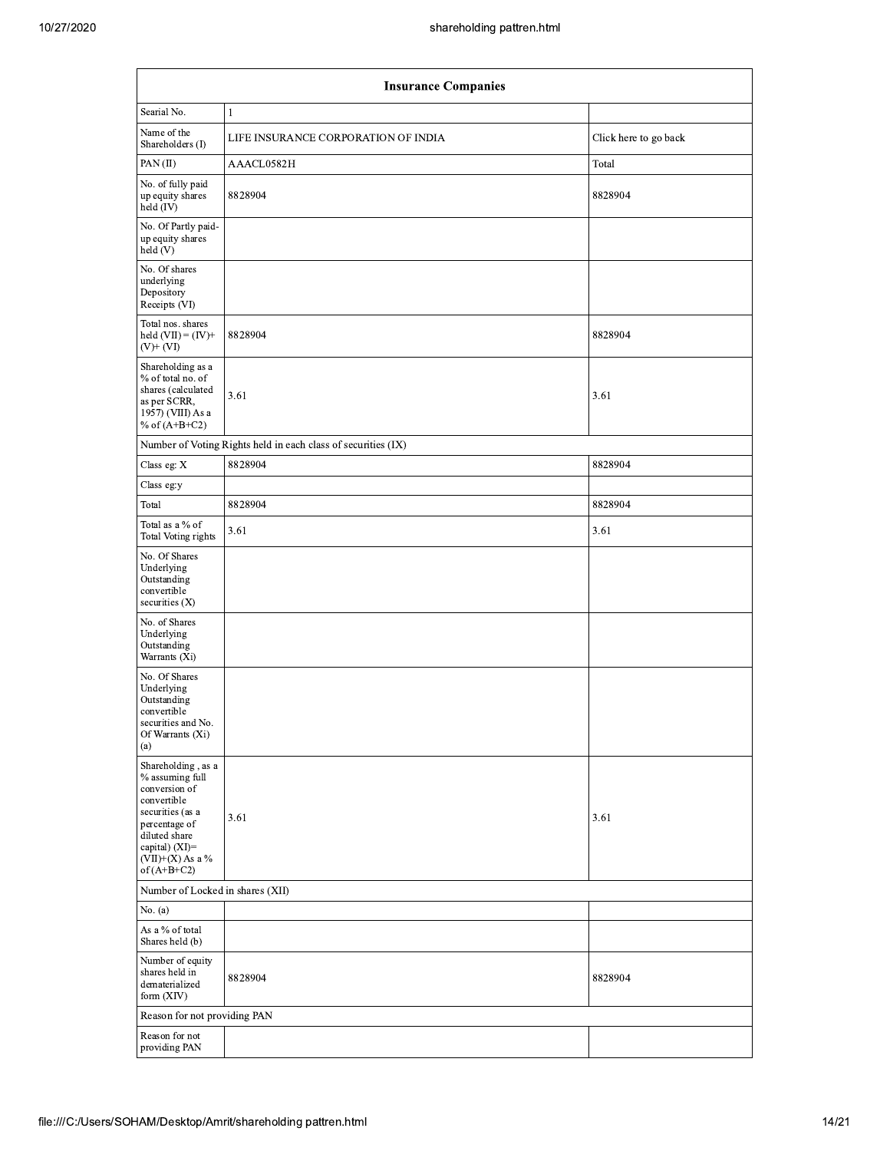|                                                                                                                                                                                      | shareholding pattren.html                                     |                       |  |  |  |
|--------------------------------------------------------------------------------------------------------------------------------------------------------------------------------------|---------------------------------------------------------------|-----------------------|--|--|--|
|                                                                                                                                                                                      | <b>Insurance Companies</b>                                    |                       |  |  |  |
| Searial No.                                                                                                                                                                          | $\mathbf{1}$                                                  |                       |  |  |  |
| Name of the<br>Shareholders (I)                                                                                                                                                      | LIFE INSURANCE CORPORATION OF INDIA                           | Click here to go back |  |  |  |
| PAN(II)                                                                                                                                                                              | AAACL0582H                                                    | Total                 |  |  |  |
| No. of fully paid<br>up equity shares<br>held $(IV)$                                                                                                                                 | 8828904                                                       | 8828904               |  |  |  |
| No. Of Partly paid-<br>up equity shares<br>held (V)                                                                                                                                  |                                                               |                       |  |  |  |
| No. Of shares<br>underlying<br>Depository<br>Receipts (VI)                                                                                                                           |                                                               |                       |  |  |  |
| Total nos. shares<br>held $(VII) = (IV) +$<br>$(V)$ + $(VI)$                                                                                                                         | 8828904                                                       | 8828904               |  |  |  |
| Shareholding as a<br>% of total no. of<br>shares (calculated<br>as per SCRR,<br>1957) (VIII) As a<br>% of $(A+B+C2)$                                                                 | 3.61                                                          | 3.61                  |  |  |  |
|                                                                                                                                                                                      | Number of Voting Rights held in each class of securities (IX) |                       |  |  |  |
| Class eg: X                                                                                                                                                                          | 8828904                                                       | 8828904               |  |  |  |
| Class eg:y                                                                                                                                                                           |                                                               |                       |  |  |  |
| Total                                                                                                                                                                                | 8828904                                                       | 8828904               |  |  |  |
| Total as a % of<br><b>Total Voting rights</b>                                                                                                                                        | 3.61                                                          | 3.61                  |  |  |  |
| No. Of Shares<br>Underlying<br>Outstanding<br>convertible<br>securities $(X)$                                                                                                        |                                                               |                       |  |  |  |
| No. of Shares<br>Underlying<br>Outstanding<br>Warrants (Xi)                                                                                                                          |                                                               |                       |  |  |  |
| No. Of Shares<br>Underlying<br>Outstanding<br>convertible<br>securities and No.<br>Of Warrants (Xi)<br>(a)                                                                           |                                                               |                       |  |  |  |
| Shareholding, as a<br>% assuming full<br>conversion of<br>convertible<br>securities (as a<br>percentage of<br>diluted share<br>capital) (XI)=<br>$(VII)+(X)$ As a %<br>of $(A+B+C2)$ | 3.61                                                          | 3.61                  |  |  |  |
| Number of Locked in shares (XII)                                                                                                                                                     |                                                               |                       |  |  |  |
| No. (a)                                                                                                                                                                              |                                                               |                       |  |  |  |
| As a $\%$ of total<br>Shares held (b)                                                                                                                                                |                                                               |                       |  |  |  |
| Number of equity<br>shares held in<br>dematerialized<br>form (XIV)                                                                                                                   | 8828904                                                       | 8828904               |  |  |  |
| Reason for not providing PAN                                                                                                                                                         |                                                               |                       |  |  |  |
| Reason for not<br>providing PAN                                                                                                                                                      |                                                               |                       |  |  |  |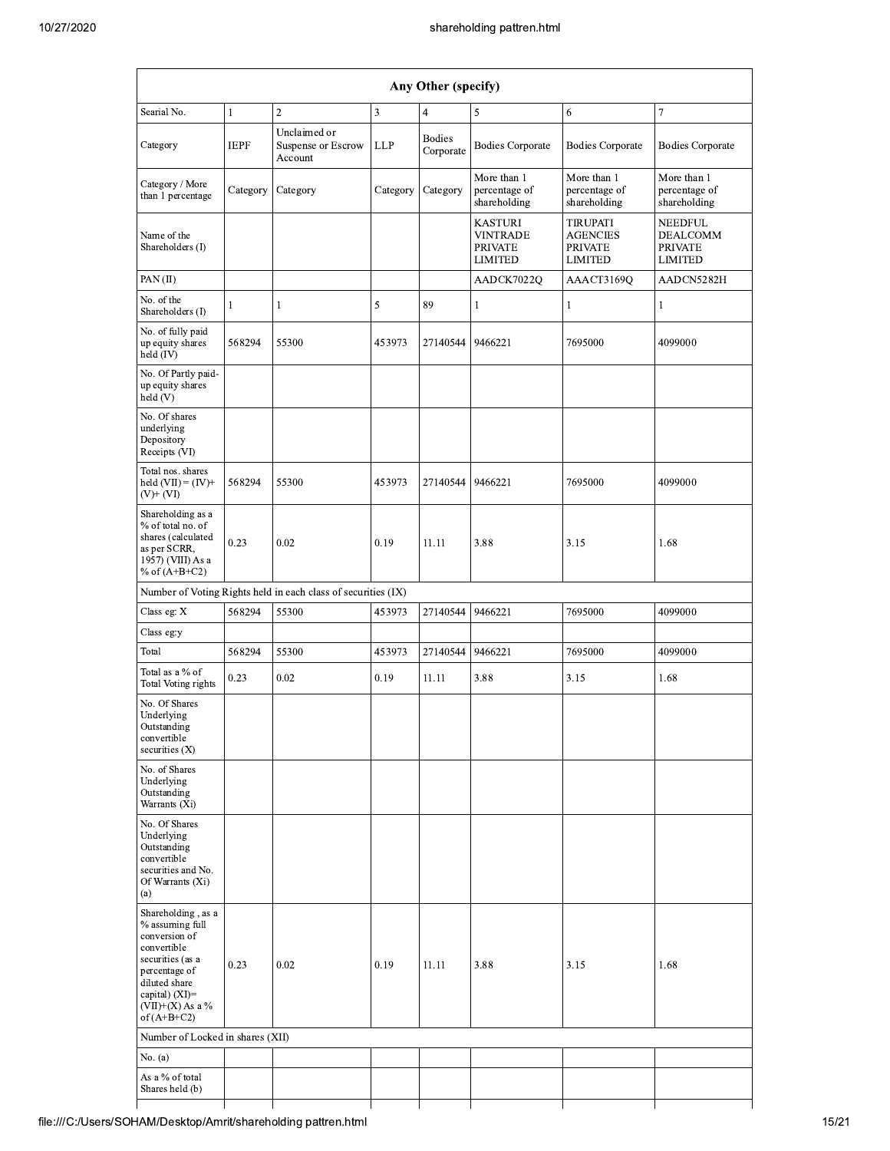|                                                                                                                                                                                      |             |                                                               |          |                            | shareholding pattren.html                                             |                                                                        |                                                                       |
|--------------------------------------------------------------------------------------------------------------------------------------------------------------------------------------|-------------|---------------------------------------------------------------|----------|----------------------------|-----------------------------------------------------------------------|------------------------------------------------------------------------|-----------------------------------------------------------------------|
|                                                                                                                                                                                      |             |                                                               |          | Any Other (specify)        |                                                                       |                                                                        |                                                                       |
| Searial No.                                                                                                                                                                          | 1           | $\mathbf{2}$                                                  | 3        | $\overline{4}$             | 5                                                                     | 6                                                                      | $\overline{7}$                                                        |
| Category                                                                                                                                                                             | <b>IEPF</b> | Unclaimed or<br>Suspense or Escrow<br>Account                 | LLP      | <b>Bodies</b><br>Corporate | <b>Bodies Corporate</b>                                               | <b>Bodies Corporate</b>                                                | <b>Bodies Corporate</b>                                               |
| Category / More<br>than 1 percentage                                                                                                                                                 | Category    | Category                                                      | Category | Category                   | More than 1<br>percentage of<br>shareholding                          | More than 1<br>percentage of<br>shareholding                           | More than 1<br>percentage of<br>shareholding                          |
| Name of the<br>Shareholders (I)                                                                                                                                                      |             |                                                               |          |                            | <b>KASTURI</b><br><b>VINTRADE</b><br><b>PRIVATE</b><br><b>LIMITED</b> | <b>TIRUPATI</b><br><b>AGENCIES</b><br><b>PRIVATE</b><br><b>LIMITED</b> | <b>NEEDFUL</b><br><b>DEALCOMM</b><br><b>PRIVATE</b><br><b>LIMITED</b> |
| PAN(II)                                                                                                                                                                              |             |                                                               |          |                            | AADCK7022Q                                                            | AAACT3169Q                                                             | AADCN5282H                                                            |
| No. of the<br>Shareholders (I)                                                                                                                                                       | 1           | 1                                                             | 5        | 89                         | 1                                                                     | -1                                                                     | 1                                                                     |
| No. of fully paid<br>up equity shares<br>held $(IV)$                                                                                                                                 | 568294      | 55300                                                         | 453973   | 27140544                   | 9466221                                                               | 7695000                                                                | 4099000                                                               |
| No. Of Partly paid-<br>up equity shares<br>held(V)                                                                                                                                   |             |                                                               |          |                            |                                                                       |                                                                        |                                                                       |
| No. Of shares<br>underlying<br>Depository<br>Receipts (VI)                                                                                                                           |             |                                                               |          |                            |                                                                       |                                                                        |                                                                       |
| Total nos. shares<br>held $(VII) = (IV) +$<br>(V)+ (VI)                                                                                                                              | 568294      | 55300                                                         | 453973   | 27140544                   | 9466221                                                               | 7695000                                                                | 4099000                                                               |
| Shareholding as a<br>% of total no. of<br>shares (calculated<br>as per SCRR,<br>1957) (VIII) As a<br>% of $(A+B+C2)$                                                                 | 0.23        | 0.02                                                          | 0.19     | 11.11                      | 3.88                                                                  | 3.15                                                                   | 1.68                                                                  |
|                                                                                                                                                                                      |             | Number of Voting Rights held in each class of securities (IX) |          |                            |                                                                       |                                                                        |                                                                       |
| Class eg: X                                                                                                                                                                          | 568294      | 55300                                                         | 453973   | 27140544 9466221           |                                                                       | 7695000                                                                | 4099000                                                               |
| Class eg:y                                                                                                                                                                           |             |                                                               |          |                            |                                                                       |                                                                        |                                                                       |
| Total                                                                                                                                                                                | 568294      | 55300                                                         | 453973   | 27140544                   | 9466221                                                               | 7695000                                                                | 4099000                                                               |
| Total as a % of<br><b>Total Voting rights</b>                                                                                                                                        | 0.23        | 0.02                                                          | 0.19     | 11.11                      | 3.88                                                                  | 3.15                                                                   | 1.68                                                                  |
| No. Of Shares<br>Underlying<br>Outstanding<br>convertible<br>securities (X)                                                                                                          |             |                                                               |          |                            |                                                                       |                                                                        |                                                                       |
| No. of Shares<br>Underlying<br>Outstanding<br>Warrants (Xi)                                                                                                                          |             |                                                               |          |                            |                                                                       |                                                                        |                                                                       |
| No. Of Shares<br>Underlying<br>Outstanding<br>convertible<br>securities and No.<br>Of Warrants (Xi)<br>(a)                                                                           |             |                                                               |          |                            |                                                                       |                                                                        |                                                                       |
| Shareholding, as a<br>% assuming full<br>conversion of<br>convertible<br>securities (as a<br>percentage of<br>diluted share<br>capital) (XI)=<br>$(VII)+(X)$ As a %<br>of $(A+B+C2)$ | 0.23        | 0.02                                                          | 0.19     | 11.11                      | 3.88                                                                  | 3.15                                                                   | 1.68                                                                  |
| Number of Locked in shares (XII)                                                                                                                                                     |             |                                                               |          |                            |                                                                       |                                                                        |                                                                       |
| No. (a)                                                                                                                                                                              |             |                                                               |          |                            |                                                                       |                                                                        |                                                                       |
| As a % of total<br>Shares held (b)                                                                                                                                                   |             |                                                               |          |                            |                                                                       |                                                                        |                                                                       |
|                                                                                                                                                                                      |             |                                                               |          |                            |                                                                       |                                                                        |                                                                       |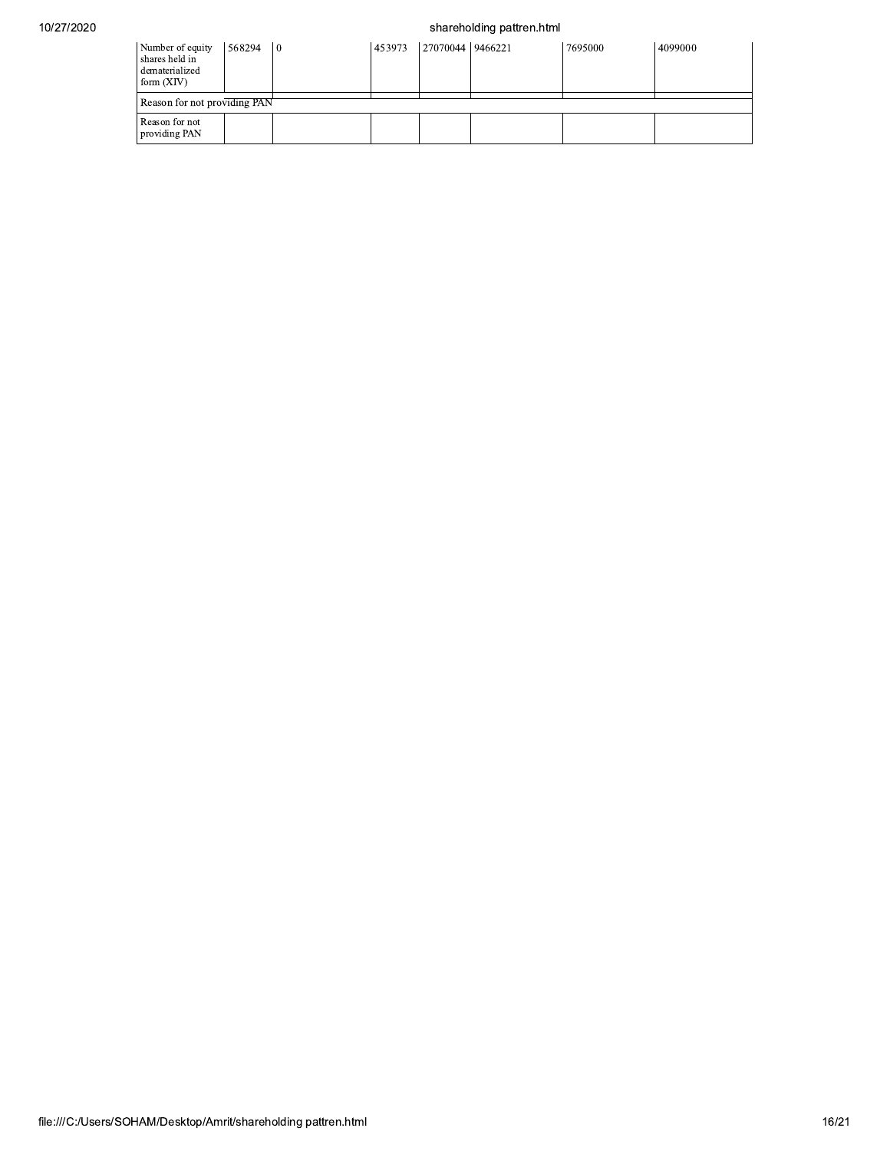## shareholding pattren.html

| Number of equity<br>shares held in<br>dematerialized<br>form $(XIV)$ | 568294 | 10 | 453973 | 27070044 9466221 | 7695000 | 4099000 |
|----------------------------------------------------------------------|--------|----|--------|------------------|---------|---------|
| Reason for not providing PAN                                         |        |    |        |                  |         |         |
| Reason for not<br>providing PAN                                      |        |    |        |                  |         |         |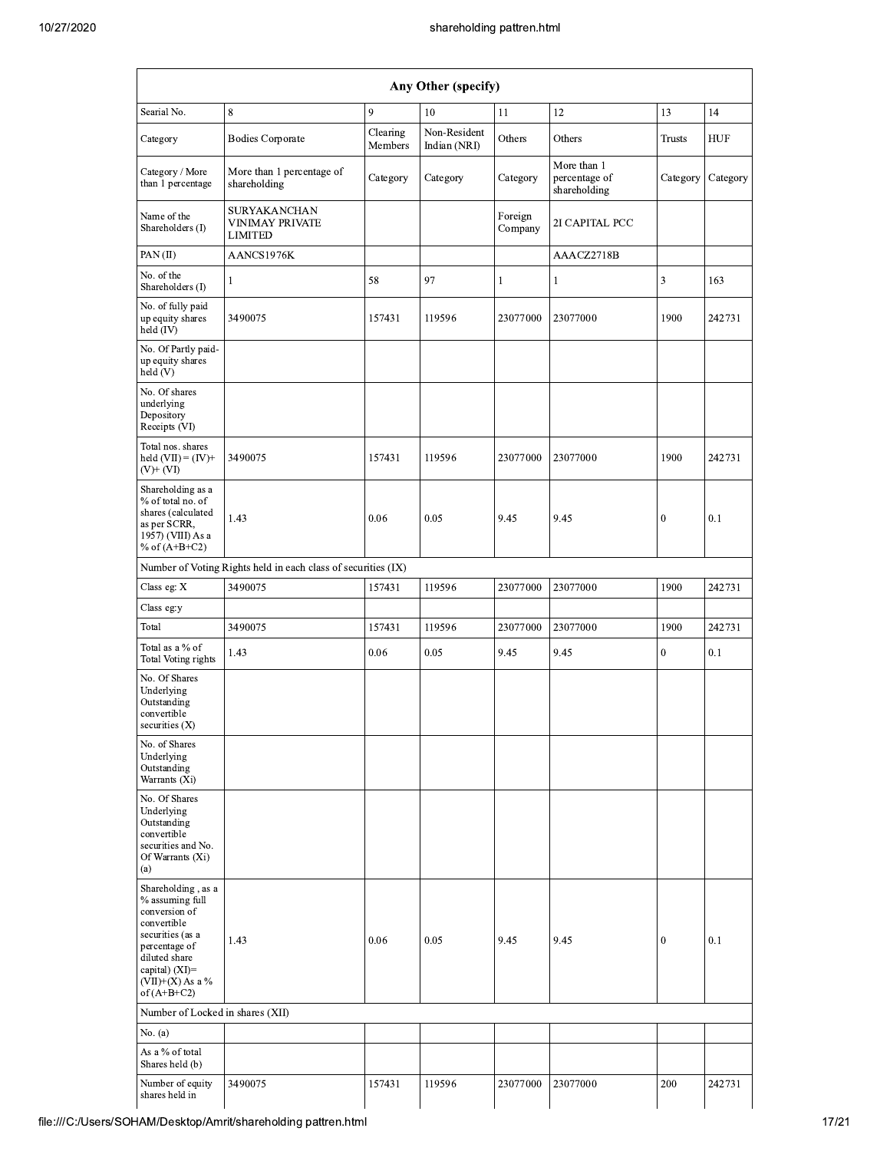|                                                                                                                                                                                         |                                                                 |                     | shareholding pattren.html    |                    |                                              |                |          |  |  |  |  |  |
|-----------------------------------------------------------------------------------------------------------------------------------------------------------------------------------------|-----------------------------------------------------------------|---------------------|------------------------------|--------------------|----------------------------------------------|----------------|----------|--|--|--|--|--|
| Any Other (specify)                                                                                                                                                                     |                                                                 |                     |                              |                    |                                              |                |          |  |  |  |  |  |
| Searial No.                                                                                                                                                                             | 8                                                               | 9                   | 10                           | 11                 | 12                                           | 13             | 14       |  |  |  |  |  |
| Category                                                                                                                                                                                | <b>Bodies Corporate</b>                                         | Clearing<br>Members | Non-Resident<br>Indian (NRI) | Others             | Others                                       | Trusts         | HUF      |  |  |  |  |  |
| Category / More<br>than 1 percentage                                                                                                                                                    | More than 1 percentage of<br>shareholding                       | Category            | Category                     | Category           | More than 1<br>percentage of<br>shareholding | Category       | Category |  |  |  |  |  |
| Name of the<br>Shareholders (I)                                                                                                                                                         | <b>SURYAKANCHAN</b><br><b>VINIMAY PRIVATE</b><br><b>LIMITED</b> |                     |                              | Foreign<br>Company | 2I CAPITAL PCC                               |                |          |  |  |  |  |  |
| PAN(II)                                                                                                                                                                                 | AANCS1976K                                                      |                     |                              |                    | AAACZ2718B                                   |                |          |  |  |  |  |  |
| No. of the<br>Shareholders (I)                                                                                                                                                          | 1                                                               | 58                  | 97                           | 1                  | 1                                            | $\mathfrak{Z}$ | 163      |  |  |  |  |  |
| No. of fully paid<br>up equity shares<br>held (IV)                                                                                                                                      | 3490075                                                         | 157431              | 119596                       | 23077000           | 23077000                                     | 1900           | 242731   |  |  |  |  |  |
| No. Of Partly paid-<br>up equity shares<br>held (V)                                                                                                                                     |                                                                 |                     |                              |                    |                                              |                |          |  |  |  |  |  |
| No. Of shares<br>underlying<br>Depository<br>Receipts (VI)                                                                                                                              |                                                                 |                     |                              |                    |                                              |                |          |  |  |  |  |  |
| Total nos. shares<br>held $(VII) = (IV) +$<br>(V)+ (VI)                                                                                                                                 | 3490075                                                         | 157431              | 119596                       | 23077000           | 23077000                                     | 1900           | 242731   |  |  |  |  |  |
| Shareholding as a<br>% of total no. of<br>shares (calculated<br>as per SCRR,<br>1957) (VIII) As a<br>% of $(A+B+C2)$                                                                    | 1.43                                                            | 0.06                | 0.05                         | 9.45               | 9.45                                         | $\mathbf{0}$   | 0.1      |  |  |  |  |  |
|                                                                                                                                                                                         | Number of Voting Rights held in each class of securities (IX)   |                     |                              |                    |                                              |                |          |  |  |  |  |  |
| Class eg: X                                                                                                                                                                             | 3490075                                                         | 157431              | 119596                       | 23077000           | 23077000                                     | 1900           | 242731   |  |  |  |  |  |
| Class eg:y                                                                                                                                                                              |                                                                 |                     |                              |                    |                                              |                |          |  |  |  |  |  |
| Total                                                                                                                                                                                   | 3490075                                                         | 157431              | 119596                       | 23077000           | 23077000                                     | 1900           | 242731   |  |  |  |  |  |
| Total as a % of<br><b>Total Voting rights</b>                                                                                                                                           | 1.43                                                            | 0.06                | 0.05                         | 9.45               | 9.45                                         | $\mathbf{0}$   | 0.1      |  |  |  |  |  |
| No. Of Shares<br>Underlying<br>Outstanding<br>convertible<br>securities (X)                                                                                                             |                                                                 |                     |                              |                    |                                              |                |          |  |  |  |  |  |
| No. of Shares<br>Underlying<br>Outstanding<br>Warrants (Xi)                                                                                                                             |                                                                 |                     |                              |                    |                                              |                |          |  |  |  |  |  |
| No. Of Shares<br>Underlying<br>Outstanding<br>convertible<br>securities and No.<br>Of Warrants (Xi)<br>(a)                                                                              |                                                                 |                     |                              |                    |                                              |                |          |  |  |  |  |  |
| Shareholding, as a<br>% assuming full<br>conversion of<br>convertible<br>securities (as a<br>percentage of<br>diluted share<br>capital) $(XI)$ =<br>$(VII)+(X)$ As a %<br>of $(A+B+C2)$ | 1.43                                                            | 0.06                | 0.05                         | 9.45               | 9.45                                         | $\theta$       | 0.1      |  |  |  |  |  |
| Number of Locked in shares (XII)                                                                                                                                                        |                                                                 |                     |                              |                    |                                              |                |          |  |  |  |  |  |
| No. (a)                                                                                                                                                                                 |                                                                 |                     |                              |                    |                                              |                |          |  |  |  |  |  |
| As a % of total<br>Shares held (b)                                                                                                                                                      |                                                                 |                     |                              |                    |                                              |                |          |  |  |  |  |  |
| Number of equity<br>shares held in                                                                                                                                                      | 3490075                                                         | 157431              | 119596                       | 23077000           | 23077000                                     | 200            | 242731   |  |  |  |  |  |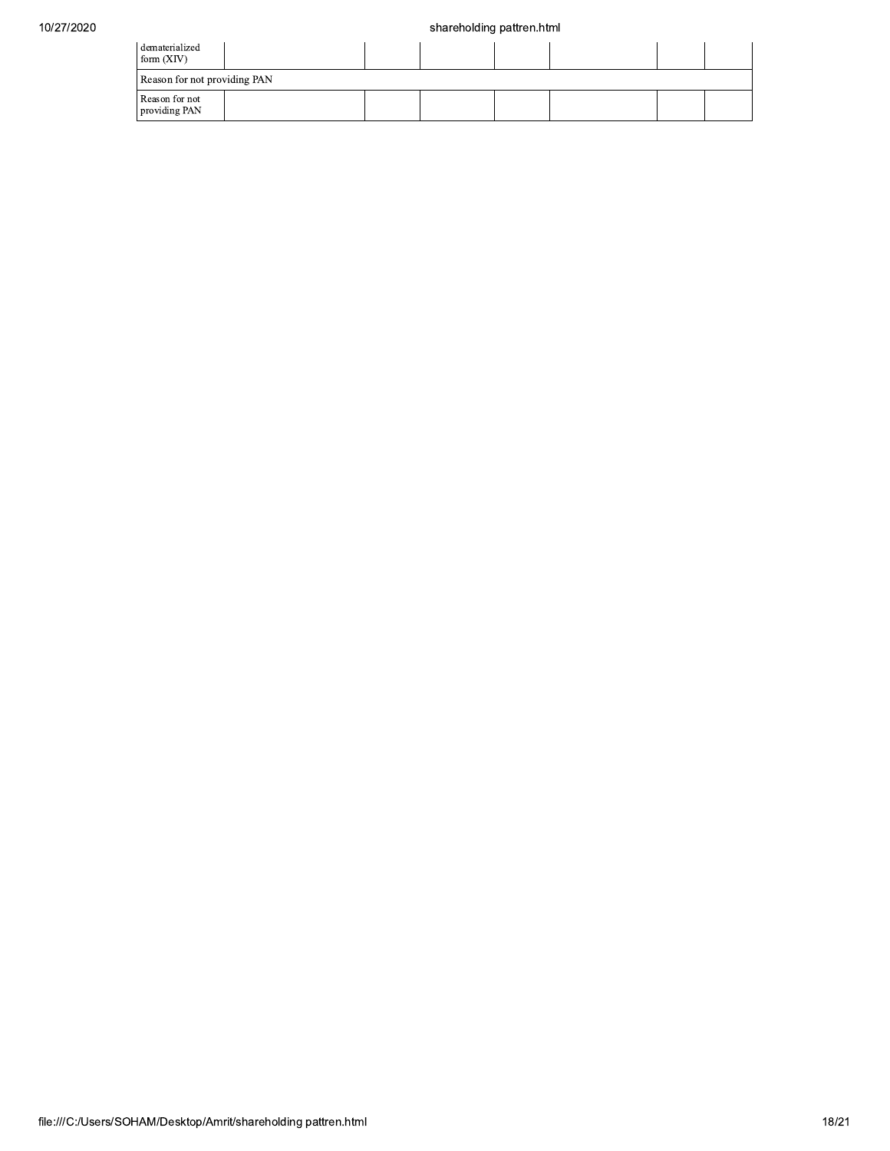| dematerialized<br>form $(XIV)$  |  |  |  |  |
|---------------------------------|--|--|--|--|
| Reason for not providing PAN    |  |  |  |  |
| Reason for not<br>providing PAN |  |  |  |  |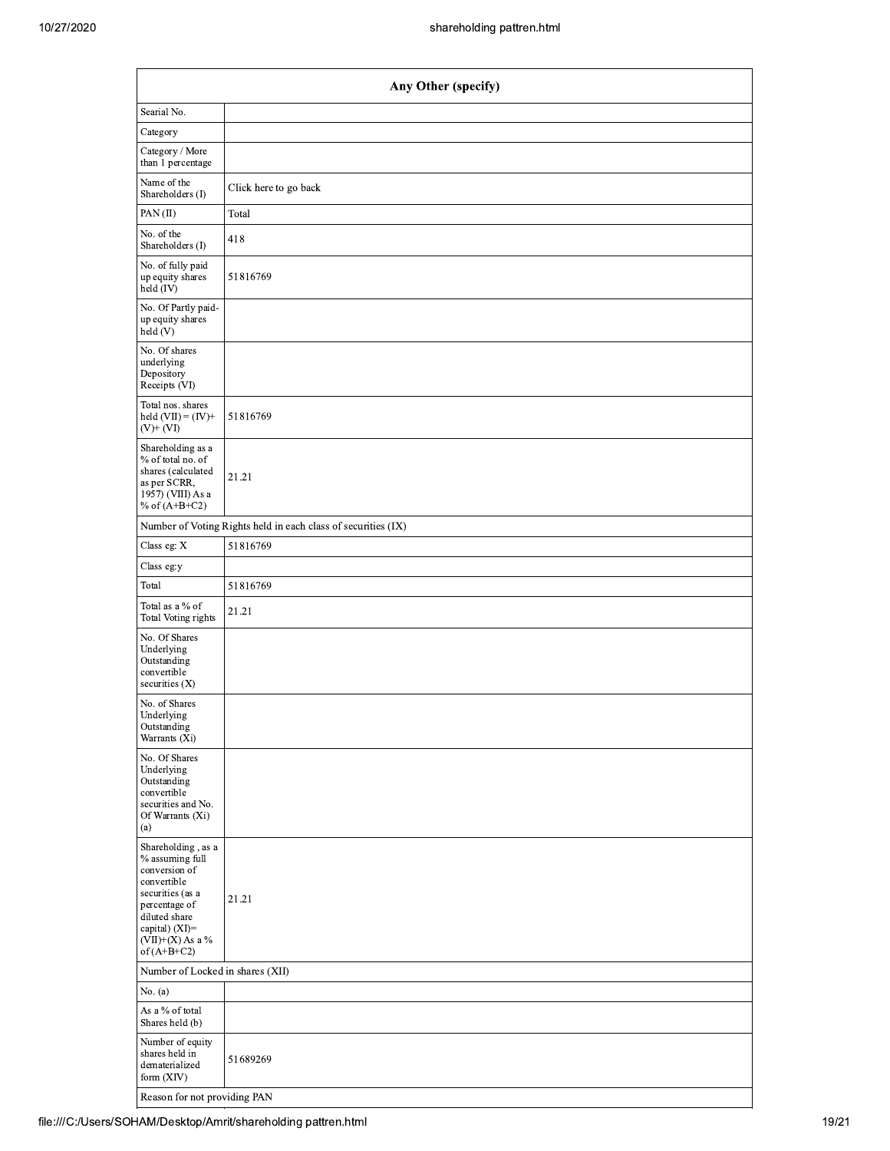|                                                                                                                                                                                      | Any Other (specify)                                           |
|--------------------------------------------------------------------------------------------------------------------------------------------------------------------------------------|---------------------------------------------------------------|
| Searial No.                                                                                                                                                                          |                                                               |
| Category                                                                                                                                                                             |                                                               |
| Category / More<br>than 1 percentage                                                                                                                                                 |                                                               |
| Name of the<br>Shareholders (I)                                                                                                                                                      | Click here to go back                                         |
| PAN(II)                                                                                                                                                                              | Total                                                         |
| No. of the<br>Shareholders (I)                                                                                                                                                       | 418                                                           |
| No. of fully paid<br>up equity shares<br>held $(IV)$                                                                                                                                 | 51816769                                                      |
| No. Of Partly paid-<br>up equity shares<br>held (V)                                                                                                                                  |                                                               |
| No. Of shares<br>underlying<br>Depository<br>Receipts (VI)                                                                                                                           |                                                               |
| Total nos. shares<br>held $(VII) = (IV) +$<br>$(V)+(VI)$                                                                                                                             | 51816769                                                      |
| Shareholding as a<br>% of total no. of<br>shares (calculated<br>as per SCRR,<br>1957) (VIII) As a<br>% of $(A+B+C2)$                                                                 | 21.21                                                         |
|                                                                                                                                                                                      | Number of Voting Rights held in each class of securities (IX) |
| Class eg: X                                                                                                                                                                          | 51816769                                                      |
| Class eg:y                                                                                                                                                                           |                                                               |
| Total                                                                                                                                                                                | 51816769                                                      |
| Total as a % of<br>Total Voting rights                                                                                                                                               | 21.21                                                         |
| No. Of Shares<br>Underlying<br>Outstanding<br>convertible<br>securities $(X)$                                                                                                        |                                                               |
| No. of Shares<br>Underlying<br>Outstanding<br>Warrants (Xi)                                                                                                                          |                                                               |
| No. Of Shares<br>Underlying<br>Outstanding<br>convertible<br>securities and No.<br>Of Warrants (Xi)<br>(a)                                                                           |                                                               |
| Shareholding, as a<br>% assuming full<br>conversion of<br>convertible<br>securities (as a<br>percentage of<br>diluted share<br>capital) (XI)=<br>$(VII)+(X)$ As a %<br>of $(A+B+C2)$ | 21.21                                                         |
| Number of Locked in shares (XII)                                                                                                                                                     |                                                               |
| No. $(a)$                                                                                                                                                                            |                                                               |
| As a % of total<br>Shares held (b)                                                                                                                                                   |                                                               |
| Number of equity<br>shares held in<br>dematerialized<br>form (XIV)                                                                                                                   | 51689269                                                      |
| Reason for not providing PAN                                                                                                                                                         |                                                               |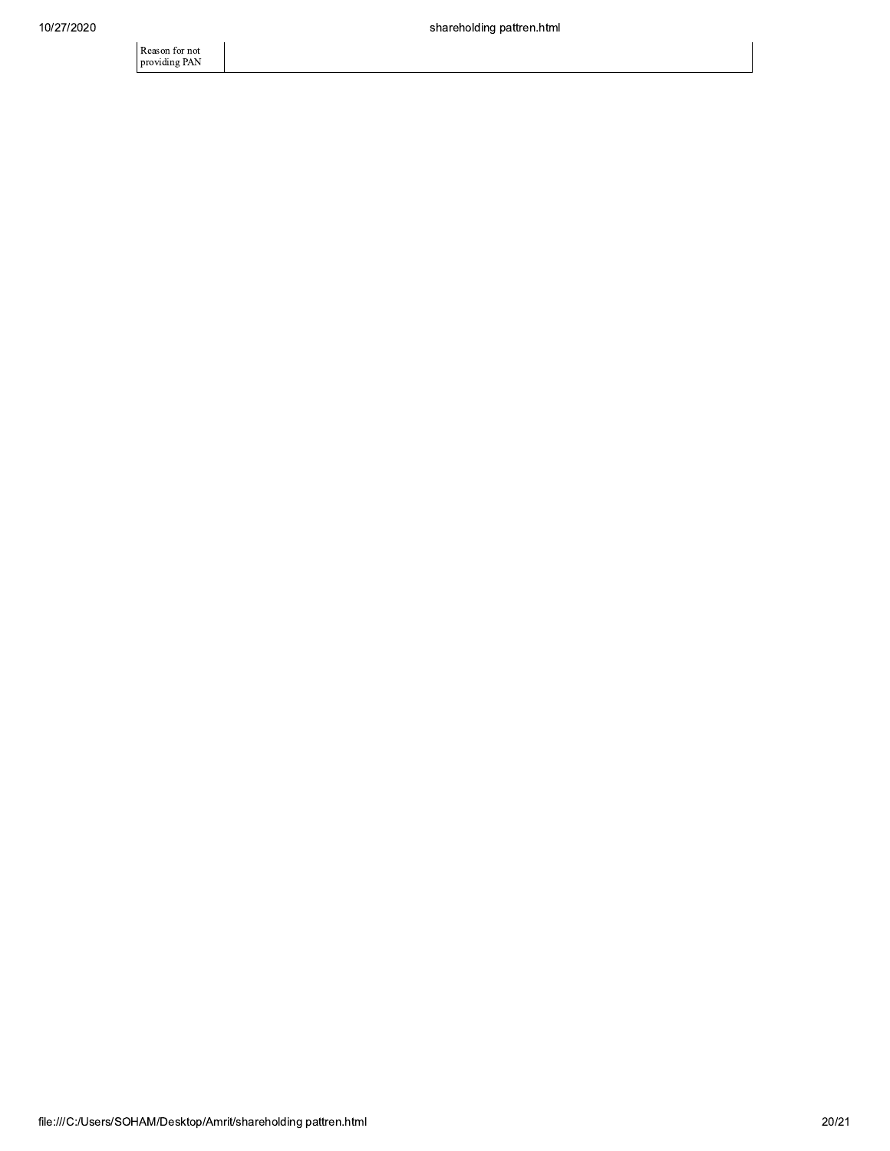Reason for not<br>providing PAN